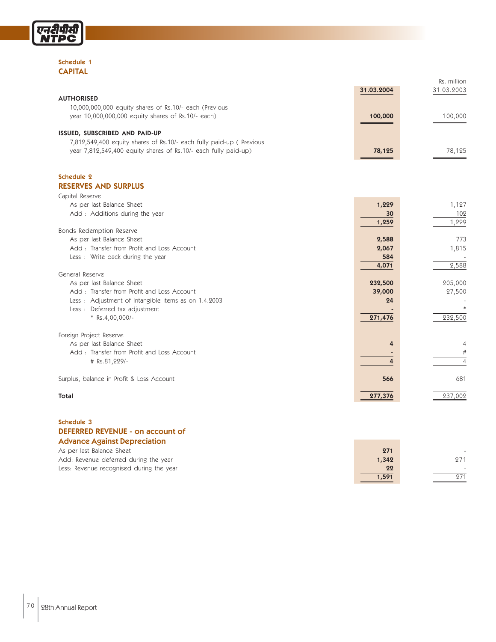

#### Schedule 1 CAPITAL

|                                                                         |              | Rs. million    |
|-------------------------------------------------------------------------|--------------|----------------|
|                                                                         | 31.03.2004   | 31.03.2003     |
| <b>AUTHORISED</b>                                                       |              |                |
| 10,000,000,000 equity shares of Rs.10/- each (Previous                  |              |                |
| year 10,000,000,000 equity shares of Rs.10/- each)                      | 100,000      | 100,000        |
|                                                                         |              |                |
| ISSUED, SUBSCRIBED AND PAID-UP                                          |              |                |
| 7,812,549,400 equity shares of Rs.10/- each fully paid-up ( Previous    |              |                |
| year 7,812,549,400 equity shares of Rs.10/- each fully paid-up)         | 78,125       | 78,125         |
|                                                                         |              |                |
| Schedule 2                                                              |              |                |
| <b>RESERVES AND SURPLUS</b>                                             |              |                |
| Capital Reserve                                                         |              |                |
| As per last Balance Sheet                                               | 1,229        | 1,127          |
| Add: Additions during the year                                          | 30           | 102            |
|                                                                         | 1,259        | 1,229          |
| Bonds Redemption Reserve                                                |              |                |
| As per last Balance Sheet                                               | 2,588        | 773            |
| Add: Transfer from Profit and Loss Account                              | 2,067        | 1,815          |
| Less : Write back during the year                                       | 584          |                |
|                                                                         | 4,071        | 2,588          |
| General Reserve                                                         |              |                |
| As per last Balance Sheet<br>Add: Transfer from Profit and Loss Account | 232,500      | 205,000        |
| Less: Adjustment of Intangible items as on 1.4.2003                     | 39,000<br>24 | 27,500         |
| Less : Deferred tax adjustment                                          |              |                |
| $*$ Rs.4,00,000/-                                                       | 271,476      | 232,500        |
|                                                                         |              |                |
| Foreign Project Reserve                                                 |              |                |
| As per last Balance Sheet                                               | 4            | $\overline{4}$ |
| Add: Transfer from Profit and Loss Account                              |              | #              |
| # Rs.81,229/-                                                           | 4            | $\overline{4}$ |
| Surplus, balance in Profit & Loss Account                               | 566          | 681            |
|                                                                         |              |                |
| <b>Total</b>                                                            | 277,376      | 237,002        |

#### Schedule 3 DEFERRED REVENUE - on account of Advance Against Depreciation

| As per last Balance Sheet                | 271   | -   |
|------------------------------------------|-------|-----|
| Add: Revenue deferred during the year    | 1,342 | 271 |
| Less: Revenue recognised during the year | 22    |     |
|                                          | 1,591 | 071 |
|                                          |       |     |

**Contract Contract Contract**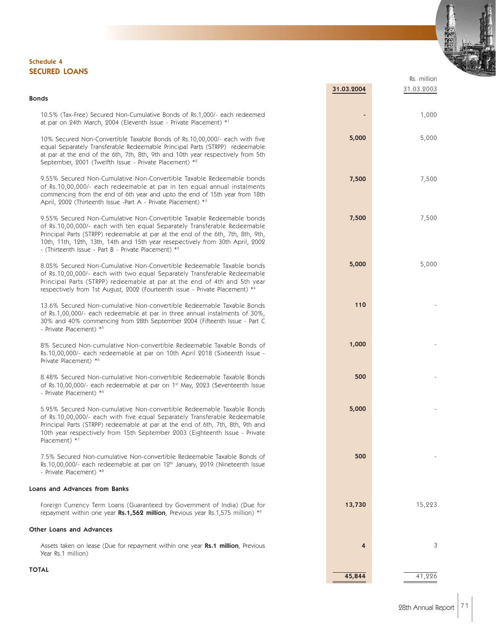#### Schedule 4 SECURED LOANS

#### Bonds

10.5% (Tax-Free) Secured Non-Cumulative Bonds of Rs.1,000/- each redeemed at par on 24th March, 2004 (Eleventh Issue - Private Placement) \*1

10% Secured Non-Convertible Taxable Bonds of Rs.10,00,000/- each with five equal Separately Transferable Redeemable Principal Parts (STRPP) redeemable at par at the end of the 6th, 7th, 8th, 9th and 10th year respectively from 5th September, 2001 (Twelfth Issue - Private Placement) \*2

9.55% Secured Non-Cumulative Non-Convertible Taxable Redeemable bonds of Rs.10,00,000/- each redeemable at par in ten equal annual instalments commencing from the end of 6th year and upto the end of 15th year from 18th April, 2002 (Thirteenth Issue -Part A - Private Placement) \*3

9.55% Secured Non-Cumulative Non-Convertible Taxable Redeemable bonds of Rs.10,00,000/- each with ten equal Separately Transferable Redeemable Principal Parts (STRPP) redeemable at par at the end of the 6th, 7th, 8th, 9th, 10th, 11th, 12th, 13th, 14th and 15th year resepectively from 30th April, 2002 - (Thirteenth Issue - Part B - Private Placement) \*3

8.05% Secured Non-Cumulative Non-Convertible Redeemable Taxable bonds of Rs.10,00,000/- each with two equal Separately Transferable Redeemable Principal Parts (STRPP) redeemable at par at the end of 4th and 5th year respectively from 1st August, 2002 (Fourteenth issue - Private Placement) \*

13.6% Secured Non-cumulative Non-convertible Redeemable Taxable Bonds of Rs.1,00,000/- each redeemable at par in three annual instalments of 30%, 30% and 40% commencing from 28th September 2004 (Fifteenth Issue - Part C - Private Placement) \*5

8% Secured Non-cumulative Non-convertible Redeemable Taxable Bonds of Rs.10,00,000/- each redeemable at par on 10th April 2018 (Sixteenth Issue - Private Placement) \*6

8.48% Secured Non-cumulative Non-convertible Redeemable Taxable Bonds of Rs.10,00,000/- each redeemable at par on 1st May, 2023 (Seventeenth Issue - Private Placement) \*6

5.95% Secured Non-cumulative Non-convertible Redeemable Taxable Bonds of Rs.10,00,000/- each with five equal Separately Transferable Redeemable Principal Parts (STRPP) redeemable at par at the end of 6th, 7th, 8th, 9th and 10th year respectively from 15th September 2003 (Eighteenth Issue - Private Placement) \*7

7.5% Secured Non-cumulative Non-convertible Redeemable Taxable Bonds of Rs.10,00,000/- each redeemable at par on 12<sup>th</sup> January, 2019 (Nineteenth Issue - Private Placement) \*8

#### Loans and Advances from Banks

Foreign Currency Term Loans (Guaranteed by Government of India) (Due for repayment within one year  $Rs.1,562$  million, Previous year Rs.1,575 million) \*9

#### Other Loans and Advances

Assets taken on lease (Due for repayment within one year Rs.1 million, Previous Year Rs.1 million)

| ٠      | 1,000  |
|--------|--------|
| 5,000  | 5,000  |
| 7,500  | 7,500  |
| 7,500  | 7,500  |
| 5,000  | 5,000  |
| 110    |        |
| 1,000  |        |
| 500    | -      |
| 5,000  |        |
| 500    |        |
| 13,730 | 15,223 |
| 4      | 3      |
| 45,844 | 41,226 |

Rs. million

31.03.2004 31.03.2003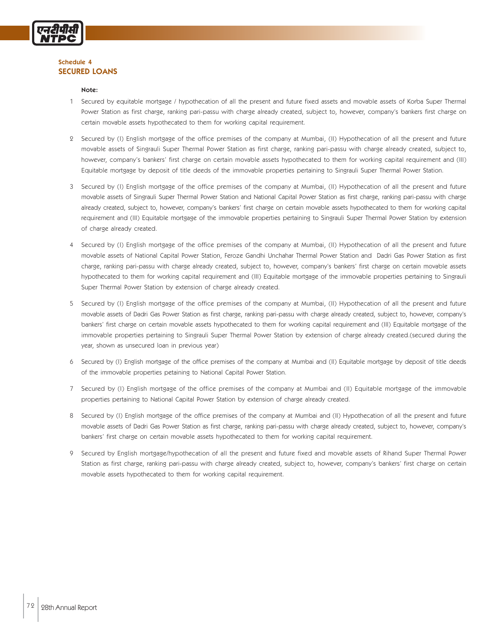

#### Schedule 4 SECURED LOANS

#### Note:

- 1 Secured by equitable mortgage / hypothecation of all the present and future fixed assets and movable assets of Korba Super Thermal Power Station as first charge, ranking pari-passu with charge already created, subject to, however, company's bankers first charge on certain movable assets hypothecated to them for working capital requirement.
- 2 Secured by (I) English mortgage of the office premises of the company at Mumbai, (II) Hypothecation of all the present and future movable assets of Singrauli Super Thermal Power Station as first charge, ranking pari-passu with charge already created, subject to, however, company's bankers' first charge on certain movable assets hypothecated to them for working capital requirement and (III) Equitable mortgage by deposit of title deeds of the immovable properties pertaining to Singrauli Super Thermal Power Station.
- 3 Secured by (I) English mortgage of the office premises of the company at Mumbai, (II) Hypothecation of all the present and future movable assets of Singrauli Super Thermal Power Station and National Capital Power Station as first charge, ranking pari-passu with charge already created, subject to, however, company's bankers' first charge on certain movable assets hypothecated to them for working capital requirement and (III) Equitable mortgage of the immovable properties pertaining to Singrauli Super Thermal Power Station by extension of charge already created.
- 4 Secured by (I) English mortgage of the office premises of the company at Mumbai, (II) Hypothecation of all the present and future movable assets of National Capital Power Station, Feroze Gandhi Unchahar Thermal Power Station and Dadri Gas Power Station as first charge, ranking pari-passu with charge already created, subject to, however, company's bankers' first charge on certain movable assets hypothecated to them for working capital requirement and (III) Equitable mortgage of the immovable properties pertaining to Singrauli Super Thermal Power Station by extension of charge already created.
- 5 Secured by (I) English mortgage of the office premises of the company at Mumbai, (II) Hypothecation of all the present and future movable assets of Dadri Gas Power Station as first charge, ranking pari-passu with charge already created, subject to, however, company's bankers' first charge on certain movable assets hypothecated to them for working capital requirement and (III) Equitable mortgage of the immovable properties pertaining to Singrauli Super Thermal Power Station by extension of charge already created.(secured during the year, shown as unsecured loan in previous year)
- 6 Secured by (I) English mortgage of the office premises of the company at Mumbai and (II) Equitable mortgage by deposit of title deeds of the immovable properties petaining to National Capital Power Station.
- 7 Secured by (I) English mortgage of the office premises of the company at Mumbai and (II) Equitable mortgage of the immovable properties pertaining to National Capital Power Station by extension of charge already created.
- 8 Secured by (I) English mortgage of the office premises of the company at Mumbai and (II) Hypothecation of all the present and future movable assets of Dadri Gas Power Station as first charge, ranking pari-passu with charge already created, subject to, however, company's bankers' first charge on certain movable assets hypothecated to them for working capital requirement.
- 9 Secured by English mortgage/hypothecation of all the present and future fixed and movable assets of Rihand Super Thermal Power Station as first charge, ranking pari-passu with charge already created, subject to, however, company's bankers' first charge on certain movable assets hypothecated to them for working capital requirement.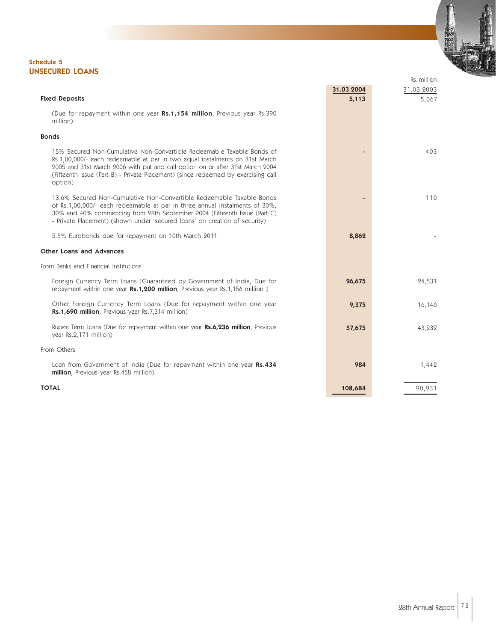#### Schedule 5 UNSECURED LOANS

|                                                                                                                                                                                                                                                                                                                                        |            | Rs. million |
|----------------------------------------------------------------------------------------------------------------------------------------------------------------------------------------------------------------------------------------------------------------------------------------------------------------------------------------|------------|-------------|
|                                                                                                                                                                                                                                                                                                                                        | 31.03.2004 | 31.03.2003  |
| <b>Fixed Deposits</b>                                                                                                                                                                                                                                                                                                                  | 5,113      | 5,067       |
| (Due for repayment within one year Rs.1,154 million, Previous year Rs.390)<br>million)                                                                                                                                                                                                                                                 |            |             |
| <b>Bonds</b>                                                                                                                                                                                                                                                                                                                           |            |             |
| 15% Secured Non-Cumulative Non-Convertible Redeemable Taxable Bonds of<br>Rs.1,00,000/- each redeemable at par in two equal instalments on 31st March<br>2005 and 31st March 2006 with put and call option on or after 31st March 2004<br>(Fifteenth Issue (Part B) - Private Placement) (since redeemed by exercising call<br>option) |            | 403         |
| 13.6% Secured Non-Cumulative Non-Convertible Redeemable Taxable Bonds<br>of Rs.1,00,000/- each redeemable at par in three annual instalments of 30%,<br>30% and 40% commencing from 28th September 2004 (Fifteenth Issue (Part C)<br>- Private Placement) (shown under 'secured loans' on creation of security)                        |            | 110         |
| 5.5% Eurobonds due for repayment on 10th March 2011                                                                                                                                                                                                                                                                                    | 8,862      |             |
| <b>Other Loans and Advances</b>                                                                                                                                                                                                                                                                                                        |            |             |
| From Banks and Financial Institutions                                                                                                                                                                                                                                                                                                  |            |             |
| Foreign Currency Term Loans (Guaranteed by Government of India, Due for<br>repayment within one year Rs.1,200 million, Previous year Rs.1,156 million)                                                                                                                                                                                 | 26,675     | 24,531      |
| Other Foreign Currency Term Loans (Due for repayment within one year<br>Rs.1,690 million, Previous year Rs.7,314 million)                                                                                                                                                                                                              | 9,375      | 16,146      |
| Rupee Term Loans (Due for repayment within one year Rs.6,236 million, Previous<br>year Rs.2,171 million)                                                                                                                                                                                                                               | 57,675     | 43,232      |
| From Others                                                                                                                                                                                                                                                                                                                            |            |             |
| Loan from Government of India (Due for repayment within one year Rs.434<br>million, Previous year Rs.458 million)                                                                                                                                                                                                                      | 984        | 1,442       |
| <b>TOTAL</b>                                                                                                                                                                                                                                                                                                                           | 108,684    | 90,931      |

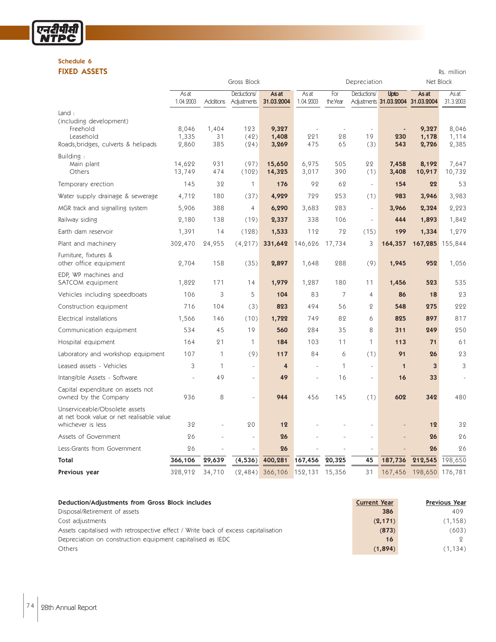#### Schedule 6 FIXED ASSETS Rs. million

एनटीपीसी<br>NTPC

|                                                                                                  |                           |                    | Gross Block                |                         |                    | Depreciation    |                          | Net Block      |                                            |                         |
|--------------------------------------------------------------------------------------------------|---------------------------|--------------------|----------------------------|-------------------------|--------------------|-----------------|--------------------------|----------------|--------------------------------------------|-------------------------|
|                                                                                                  | <b>As at</b><br>1.04.2003 | <b>Additions</b>   | Deductions/<br>Adjustments | As at<br>31.03.2004     | As at<br>1.04.2003 | For<br>the Year | Deductions/              | Upto           | As at<br>Adjustments 31.03.2004 31.03.2004 | As at<br>31.3.2003      |
| Land:<br>(including development)<br>Freehold<br>Leasehold<br>Roads, bridges, culverts & helipads | 8,046<br>1,335<br>2,860   | 1,404<br>31<br>385 | 123<br>(42)<br>(24)        | 9,327<br>1,408<br>3,269 | 221<br>475         | 28<br>65        | 19<br>(3)                | 230<br>543     | 9,327<br>1,178<br>2,726                    | 8,046<br>1,114<br>2,385 |
| Building:<br>Main plant<br>Others                                                                | 14,622<br>13,749          | 931<br>474         | (97)<br>(102)              | 15,650<br>14,325        | 6,975<br>3,017     | 505<br>390      | 22<br>(1)                | 7,458<br>3,408 | 8,192<br>10,917                            | 7,647<br>10,732         |
| Temporary erection                                                                               | 145                       | 32                 | $\mathbf{1}$               | 176                     | 92                 | 62              | $\omega$                 | 154            | 22                                         | 53                      |
| Water supply drainage & sewerage                                                                 | 4,712                     | 180                | (37)                       | 4,929                   | 729                | 253             | (1)                      | 983            | 3,946                                      | 3,983                   |
| MGR track and signalling system                                                                  | 5,906                     | 388                | $\overline{4}$             | 6,290                   | 3,683              | 283             | $\overline{\phantom{a}}$ | 3,966          | 2,324                                      | 2,223                   |
| Railway siding                                                                                   | 2,180                     | 138                | (19)                       | 2,337                   | 338                | 106             | $\bar{ }$                | 444            | 1,893                                      | 1,842                   |
| Earth dam reservoir                                                                              | 1,391                     | 14                 | (128)                      | 1,533                   | 112                | 72              | (15)                     | 199            | 1,334                                      | 1,279                   |
| Plant and machinery                                                                              | 302,470                   | 24,955             | (4, 217)                   | 331,642                 | 146,626            | 17,734          | 3                        | 164,357        | 167,285                                    | 155,844                 |
| Furniture, fixtures &<br>other office equipment                                                  | 2,704                     | 158                | (35)                       | 2,897                   | 1,648              | 288             | (9)                      | 1,945          | 952                                        | 1,056                   |
| EDP, WP machines and<br>SATCOM equipment                                                         | 1,822                     | 171                | 14                         | 1,979                   | 1,287              | 180             | 11                       | 1,456          | 523                                        | 535                     |
| Vehicles including speedboats                                                                    | 106                       | 3                  | 5                          | 104                     | 83                 | 7               | $\overline{4}$           | 86             | 18                                         | 23                      |
| Construction equipment                                                                           | 716                       | 104                | (3)                        | 823                     | 494                | 56              | $\overline{Q}$           | 548            | 275                                        | 222                     |
| Electrical installations                                                                         | 1,566                     | 146                | (10)                       | 1,722                   | 749                | 82              | 6                        | 825            | 897                                        | 817                     |
| Communication equipment                                                                          | 534                       | 45                 | 19                         | 560                     | 284                | 35              | 8                        | 311            | 249                                        | 250                     |
| Hospital equipment                                                                               | 164                       | 21                 | $\mathbf{1}$               | 184                     | 103                | 11              | $\mathbf{1}$             | 113            | 71                                         | 61                      |
| Laboratory and workshop equipment                                                                | 107                       | $\mathbf{1}$       | (9)                        | 117                     | 84                 | 6               | (1)                      | 91             | 26                                         | 23                      |
| Leased assets - Vehicles                                                                         | 3                         | $\mathbf{1}$       | ÷,                         | $\overline{4}$          | $\blacksquare$     | 1               | $\bar{a}$                | $\mathbf{1}$   | 3                                          | 3                       |
| Intangible Assets - Software                                                                     |                           | 49                 | L.                         | 49                      | ÷,                 | 16              | $\bar{\phantom{a}}$      | 16             | 33                                         |                         |
| Capital expenditure on assets not<br>owned by the Company                                        | 936                       | 8                  |                            | 944                     | 456                | 145             | (1)                      | 602            | 342                                        | 480                     |
| Unserviceable/Obsolete assets<br>at net book value or net realisable value<br>whichever is less  | 32                        |                    | 20                         | 12                      |                    |                 |                          |                | 12                                         | 32                      |
| Assets of Government                                                                             | 26                        |                    |                            | 26                      |                    |                 |                          |                | 26                                         | 26                      |
| Less:Grants from Government                                                                      | 26                        |                    |                            | 26                      |                    |                 |                          |                | 26                                         | 26                      |
| Total                                                                                            | 366,106                   | 29,639             | (4,536)                    | 400,281                 | 167,456            | 20,325          | 45                       | 187,736        | 212,545                                    | 198,650                 |
| Previous year                                                                                    | 328,912                   | 34,710             | (2,484)                    | 366,106                 | 152,131            | 15,356          | 31                       | 167,456        | 198,650 176,781                            |                         |

| Deduction/Adjustments from Gross Block includes                                    | <b>Current Year</b> | <b>Previous Year</b> |
|------------------------------------------------------------------------------------|---------------------|----------------------|
| Disposal/Retirement of assets                                                      | 386                 | 409                  |
| Cost adjustments                                                                   | (2, 171)            | (1,158)              |
| Assets capitalised with retrospective effect / Write back of excess capitalisation | (873)               | (603)                |
| Depreciation on construction equipment capitalised as IEDC                         | 16                  | 9.                   |
| Others                                                                             | (1,894)             | (1, 134)             |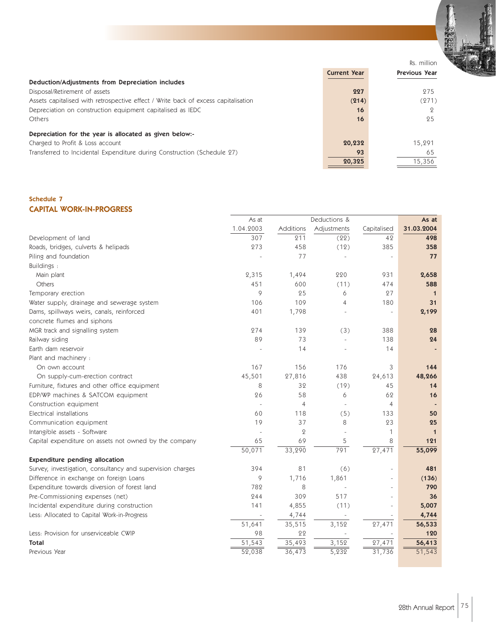

Rs. million

|                                                                                    |                     | RS. THIIIIOH         |
|------------------------------------------------------------------------------------|---------------------|----------------------|
|                                                                                    | <b>Current Year</b> | <b>Previous Year</b> |
| Deduction/Adjustments from Depreciation includes                                   |                     |                      |
| Disposal/Retirement of assets                                                      | 227                 | 275                  |
| Assets capitalised with retrospective effect / Write back of excess capitalisation | (214)               | (271)                |
| Depreciation on construction equipment capitalised as IEDC                         | 16                  |                      |
| Others                                                                             | 16                  | 25                   |
| Depreciation for the year is allocated as given below:-                            |                     |                      |
| Charged to Profit & Loss account                                                   | 20,232              | 15,291               |
| Transferred to Incidental Expenditure during Construction (Schedule 27)            | 93                  | 65                   |
|                                                                                    | 20,325              | 15,356               |
|                                                                                    |                     |                      |

#### Schedule 7 CAPITAL WORK-IN-PROGRESS

|                                                            | As at     |                | Deductions & |                    | As at               |
|------------------------------------------------------------|-----------|----------------|--------------|--------------------|---------------------|
|                                                            | 1.04.2003 | Additions      | Adjustments  | Capitalised        | 31.03.2004          |
| Development of land                                        | 307       | 211            | (22)         | 42                 | 498                 |
| Roads, bridges, culverts & helipads                        | 273       | 458            | (12)         | 385                | 358                 |
| Piling and foundation                                      |           | 77             |              |                    | 77                  |
| Buildings:                                                 |           |                |              |                    |                     |
| Main plant                                                 | 2,315     | 1,494          | 220          | 931                | 2,658               |
| <b>Others</b>                                              | 451       | 600            | (11)         | 474                | 588                 |
| Temporary erection                                         | 9         | 25             | 6            | 27                 | 1                   |
| Water supply, drainage and sewerage system                 | 106       | 109            | 4            | 180                | 31                  |
| Dams, spillways weirs, canals, reinforced                  | 401       | 1,798          |              | ÷,                 | 2,199               |
| concrete flumes and siphons                                |           |                |              |                    |                     |
| MGR track and signalling system                            | 274       | 139            | (3)          | 388                | 28                  |
| Railway siding                                             | 89        | 73             |              | 138                | 24                  |
| Earth dam reservoir                                        |           | 14             |              | 14                 |                     |
| Plant and machinery :                                      |           |                |              |                    |                     |
| On own account                                             | 167       | 156            | 176          | 3                  | 144                 |
| On supply-cum-erection contract                            | 45,501    | 27,816         | 438          | 24,613             | 48,266              |
| Furniture, fixtures and other office equipment             | 8         | 32             | (19)         | 45                 | 14                  |
| EDP/WP machines & SATCOM equipment                         | 26        | 58             | 6            | 62                 | 16                  |
| Construction equipment                                     |           | $\overline{4}$ |              | $\overline{4}$     |                     |
| Electrical installations                                   | 60        | 118            | (5)          | 133                | 50                  |
| Communication equipment                                    | 19        | 37             | 8            | 23                 | 25                  |
| Intangible assets - Software                               |           | $\mathbf{Q}$   |              | 1                  | $\mathbf 1$         |
| Capital expenditure on assets not owned by the company     | 65        | 69             | 5            | 8                  | 121                 |
|                                                            | 50,071    | 33,290         | 791          | 27,471             | 55,099              |
| Expenditure pending allocation                             |           |                |              |                    |                     |
| Survey, investigation, consultancy and supervision charges | 394       | 81             | (6)          |                    | 481                 |
| Difference in exchange on foreign Loans                    | 9         | 1,716          | 1,861        |                    | (136)               |
| Expenditure towards diversion of forest land               | 782       | 8              |              |                    | 790                 |
| Pre-Commissioning expenses (net)                           | 244       | 309            | 517          |                    | 36                  |
| Incidental expenditure during construction                 | 141       | 4,855          | (11)         | $\overline{a}$     | 5,007               |
| Less: Allocated to Capital Work-in-Progress                |           | 4,744          |              |                    | 4,744               |
|                                                            | 51,641    | 35,515         | 3,152        | 27,471             | 56,533              |
| Less: Provision for unserviceable CWIP                     | 98        | 22             |              |                    | 120                 |
| <b>Total</b>                                               | 51,543    | 35,493         | 3,152        | 27,471             | 56,413              |
| Previous Year                                              | 52,038    | 36,473         | 5,232        | $\frac{1}{31,736}$ | $\overline{51,543}$ |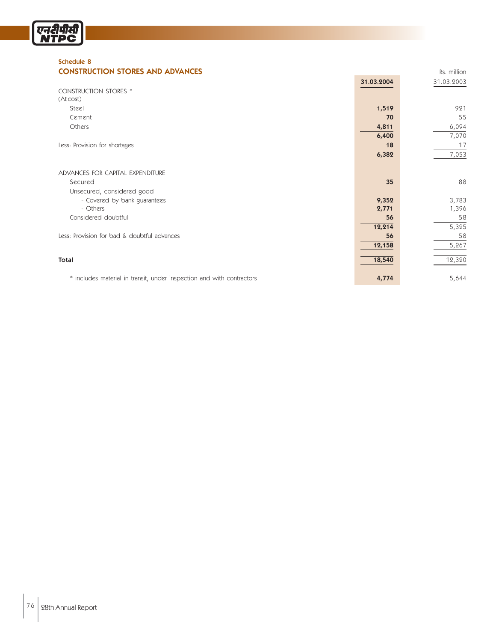

#### Schedule 8 **CONSTRUCTION STORES AND ADVANCES CONSTRUCTION STORES AND ADVANCES**

|                                                                       | 31.03.2004 | 31.03.2003 |
|-----------------------------------------------------------------------|------------|------------|
| <b>CONSTRUCTION STORES *</b>                                          |            |            |
| (At cost)                                                             |            |            |
| Steel                                                                 | 1,519      | 921        |
| Cement                                                                | 70         | 55         |
| Others                                                                | 4,811      | 6,094      |
|                                                                       | 6,400      | 7,070      |
| Less: Provision for shortages                                         | 18         | 17         |
|                                                                       | 6,382      | 7,053      |
|                                                                       |            |            |
| ADVANCES FOR CAPITAL EXPENDITURE                                      |            |            |
| Secured                                                               | 35         | 88         |
| Unsecured, considered good                                            |            |            |
| - Covered by bank guarantees                                          | 9,352      | 3,783      |
| - Others                                                              | 2,771      | 1,396      |
| Considered doubtful                                                   | 56         | 58         |
|                                                                       | 12,214     | 5,325      |
| Less: Provision for bad & doubtful advances                           | 56         | 58         |
|                                                                       | 12,158     | 5,267      |
|                                                                       |            |            |
| Total                                                                 | 18,540     | 12,320     |
|                                                                       |            |            |
| * includes material in transit, under inspection and with contractors | 4,774      | 5,644      |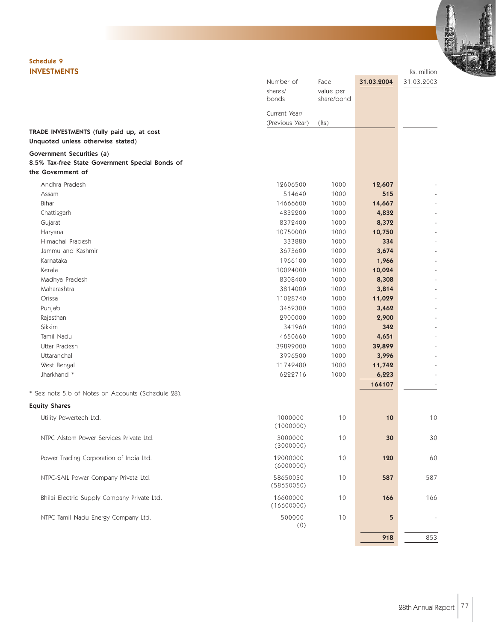### Schedule 9

| <b>INVESTMENTS</b>                                                             |                                  |                                 |            | Rs. million |
|--------------------------------------------------------------------------------|----------------------------------|---------------------------------|------------|-------------|
|                                                                                | Number of<br>shares/<br>bonds    | Face<br>value per<br>share/bond | 31.03.2004 | 31.03.2003  |
|                                                                                | Current Year/<br>(Previous Year) | (Rs)                            |            |             |
| TRADE INVESTMENTS (fully paid up, at cost<br>Unquoted unless otherwise stated) |                                  |                                 |            |             |
| Government Securities (a)<br>8.5% Tax-free State Government Special Bonds of   |                                  |                                 |            |             |
| the Government of                                                              |                                  |                                 |            |             |
| Andhra Pradesh                                                                 | 12606500                         | 1000                            | 12,607     |             |
| Assam                                                                          | 514640                           | 1000                            | 515        |             |
| Bihar                                                                          | 14666600                         | 1000                            | 14,667     |             |
| Chattisgarh                                                                    | 4832200                          | 1000                            | 4,832      |             |
| Gujarat                                                                        | 8372400                          | 1000                            | 8,372      |             |
| Haryana                                                                        | 10750000                         | 1000                            | 10,750     |             |
| Himachal Pradesh                                                               | 333880                           | 1000                            | 334        |             |
| Jammu and Kashmir                                                              | 3673600                          | 1000                            | 3,674      |             |
| Karnataka                                                                      | 1966100                          | 1000                            | 1,966      |             |
| Kerala                                                                         | 10024000                         | 1000                            | 10,024     |             |
| Madhya Pradesh                                                                 | 8308400                          | 1000                            | 8,308      |             |
| Maharashtra                                                                    | 3814000                          | 1000                            | 3,814      |             |
| Orissa                                                                         | 11028740                         | 1000                            | 11,029     |             |
| Punjab                                                                         | 3462300                          | 1000                            | 3,462      |             |
| Rajasthan                                                                      | 2900000                          | 1000                            | 2,900      |             |
| Sikkim                                                                         | 341960                           | 1000                            | 342        |             |
| Tamil Nadu                                                                     | 4650660                          | 1000                            | 4,651      |             |
| Uttar Pradesh                                                                  | 39899000                         | 1000                            | 39,899     |             |
| Uttaranchal                                                                    | 3996500                          | 1000                            | 3,996      |             |
| West Bengal                                                                    | 11742480                         | 1000                            | 11,742     |             |
| Jharkhand *                                                                    | 6222716                          | 1000                            | 6,223      |             |
|                                                                                |                                  |                                 | 164107     |             |
| * See note 5.b of Notes on Accounts (Schedule 28).                             |                                  |                                 |            |             |
| <b>Equity Shares</b>                                                           |                                  |                                 |            |             |
| Utility Powertech Ltd.                                                         | 1000000<br>(1000000)             | 10                              | 10         | 10          |
| NTPC Alstom Power Services Private Ltd.                                        | 3000000<br>(3000000)             | 10                              | 30         | 30          |
| Power Trading Corporation of India Ltd.                                        | 12000000<br>(6000000)            | 10                              | 120        | 60          |
| NTPC-SAIL Power Company Private Ltd.                                           | 58650050<br>(58650050)           | 10                              | 587        | 587         |
| Bhilai Electric Supply Company Private Ltd.                                    | 16600000<br>(16600000)           | 10                              | 166        | 166         |
| NTPC Tamil Nadu Energy Company Ltd.                                            | 500000<br>(0)                    | 10                              | 5          |             |
|                                                                                |                                  |                                 | 918        | 853         |
|                                                                                |                                  |                                 |            |             |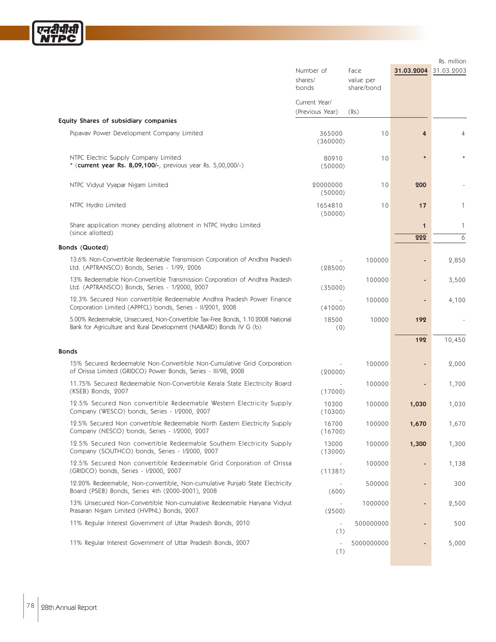

|                                                                                                                                                       |                                  |                                 |                    | Rs. million |
|-------------------------------------------------------------------------------------------------------------------------------------------------------|----------------------------------|---------------------------------|--------------------|-------------|
|                                                                                                                                                       | Number of<br>shares/<br>bonds    | Face<br>value per<br>share/bond | 31.03.2004         | 31.03.2003  |
|                                                                                                                                                       | Current Year/<br>(Previous Year) | (Rs)                            |                    |             |
| Equity Shares of subsidiary companies                                                                                                                 |                                  |                                 |                    |             |
| Pipavav Power Development Company Limited                                                                                                             | 365000<br>(360000)               | 10                              | 4                  | 4           |
| NTPC Electric Supply Company Limited<br>* (current year Rs. 8,09,100/-, previous year Rs. 5,00,000/-)                                                 | 80910<br>(50000)                 | 10                              | $\ast$             |             |
| NTPC Vidyut Vyapar Nigam Limited                                                                                                                      | 20000000<br>(50000)              | 10                              | 200                |             |
| NTPC Hydro Limited                                                                                                                                    | 1654810<br>(50000)               | 10                              | 17                 | 1           |
| Share application money pending allotment in NTPC Hydro Limited<br>(since allotted)                                                                   |                                  |                                 | $\mathbf 1$<br>222 | 1<br>6      |
| Bonds (Quoted)                                                                                                                                        |                                  |                                 |                    |             |
| 13.6% Non-Convertible Redeemable Transmision Corporation of Andhra Pradesh<br>Ltd. (APTRANSCO) Bonds, Series - 1/99, 2006                             | (28500)                          | 100000                          |                    | 2,850       |
| 13% Redeemable Non-Convertible Transmission Corporation of Andhra Pradesh<br>Ltd. (APTRANSCO) Bonds, Series - 1/2000, 2007                            | (35000)                          | 100000                          |                    | 3,500       |
| 12.3% Secured Non convertible Redeemable Andhra Pradesh Power Finance<br>Corporation Limited (APPFCL) bonds, Series - II/2001, 2008                   | (41000)                          | 100000                          |                    | 4,100       |
| 5.00% Redeemable, Unsecured, Non-Convertible Tax-Free Bonds, 1.10.2008 National<br>Bank for Agriculture and Rural Development (NABARD) Bonds IV G (b) | 18500<br>(0)                     | 10000                           | 192                |             |
| <b>Bonds</b>                                                                                                                                          |                                  |                                 | 192                | 10,450      |
| 15% Secured Redeemable Non-Convertible Non-Cumulative Grid Corporation<br>of Orissa Limited (GRIDCO) Power Bonds, Series - III/98, 2008               | (20000)                          | 100000                          |                    | 2,000       |
| 11.75% Secured Redeemable Non-Convertible Kerala State Electricity Board<br>(KSEB) Bonds, 2007                                                        | (17000)                          | 100000                          |                    | 1,700       |
| 12.5% Secured Non convertible Redeemable Western Electricity Supply<br>Company (WESCO) bonds, Series - I/2000, 2007                                   | 10300<br>(10300)                 | 100000                          | 1,030              | 1,030       |
| 12.5% Secured Non convertible Redeemable North Eastern Electricity Supply<br>Company (NESCO) bonds, Series - I/2000, 2007                             | 16700<br>(16700)                 | 100000                          | 1,670              | 1,670       |
| 12.5% Secured Non convertible Redeemable Southern Electricity Supply<br>Company (SOUTHCO) bonds, Series - I/2000, 2007                                | 13000<br>(13000)                 | 100000                          | 1,300              | 1,300       |
| 12.5% Secured Non convertible Redeemable Grid Corporation of Orissa<br>(GRIDCO) bonds, Series - I/2000, 2007                                          | (11381)                          | 100000                          |                    | 1,138       |
| 12.20% Redeemable, Non-convertible, Non-cumulative Punjab State Electricity<br>Board (PSEB) Bonds, Series 4th (2000-2001), 2008                       | (600)                            | 500000                          |                    | 300         |
| 13% Unsecured Non-Convertible Non-cumulative Redeemable Haryana Vidyut<br>Prasaran Nigam Limited (HVPNL) Bonds, 2007                                  | (2500)                           | 1000000                         |                    | 2,500       |
| 11% Regular Interest Government of Uttar Pradesh Bonds, 2010                                                                                          | $\overline{\phantom{a}}$<br>(1)  | 500000000                       |                    | 500         |
| 11% Regular Interest Government of Uttar Pradesh Bonds, 2007                                                                                          | (1)                              | 5000000000                      |                    | 5,000       |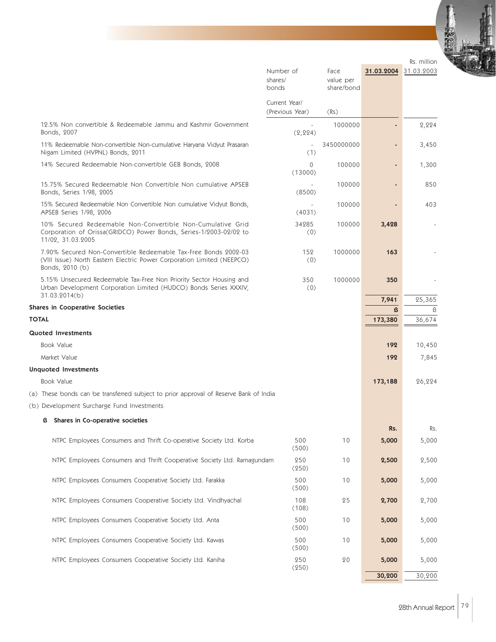|                                                                                                                                                              | Number of<br>shares/                      | Face<br>value per  | 31.03.2004 | Rs. million<br>31.03.2003 |
|--------------------------------------------------------------------------------------------------------------------------------------------------------------|-------------------------------------------|--------------------|------------|---------------------------|
|                                                                                                                                                              | bonds<br>Current Year/<br>(Previous Year) | share/bond<br>(Rs) |            |                           |
| 12.5% Non convertible & Redeemable Jammu and Kashmir Government<br>Bonds, 2007                                                                               | $\overline{\phantom{a}}$<br>(2, 224)      | 1000000            | ٠          | 2,224                     |
| 11% Redeemable Non-convertible Non-cumulative Haryana Vidyut Prasaran<br>Nigam Limited (HVPNL) Bonds, 2011                                                   | $\overline{\phantom{a}}$<br>(1)           | 3450000000         | ٠          | 3,450                     |
| 14% Secured Redeemable Non-convertible GEB Bonds, 2008                                                                                                       | 0<br>(13000)                              | 100000             | ٠          | 1,300                     |
| 15.75% Secured Redeemable Non Convertible Non cumulative APSEB<br>Bonds, Series 1/98, 2005                                                                   | (8500)                                    | 100000             |            | 850                       |
| 15% Secured Redeemable Non Convertible Non cumulative Vidyut Bonds,<br>APSEB Series 1/98, 2006                                                               | $\sim$<br>(4031)                          | 100000             |            | 403                       |
| 10% Secured Redeemable Non-Convertible Non-Cumulative Grid<br>Corporation of Orissa(GRIDCO) Power Bonds, Series-1/2003-02/02 to<br>11/02, 31.03.2005         | 34285<br>(0)                              | 100000             | 3,428      |                           |
| 7.90% Secured Non-Convertible Redeemable Tax-Free Bonds 2002-03<br>(VIII Issue) North Eastern Electric Power Corporation Limited (NEEPCO)<br>Bonds, 2010 (b) | 152<br>(0)                                | 1000000            | 163        |                           |
| 5.15% Unsecured Redeemable Tax-Free Non Priority Sector Housing and<br>Urban Development Corporation Limited (HUDCO) Bonds Series XXXIV,<br>31.03.2014(b)    | 350<br>(0)                                | 1000000            | 350        |                           |
| <b>Shares in Cooperative Societies</b>                                                                                                                       |                                           |                    | 7,941<br>ß | 25,365<br>ß               |
| <b>TOTAL</b>                                                                                                                                                 |                                           |                    | 173,380    | 36,674                    |
| <b>Quoted Investments</b>                                                                                                                                    |                                           |                    |            |                           |
| <b>Book Value</b>                                                                                                                                            |                                           |                    | 192        | 10,450                    |
| Market Value                                                                                                                                                 |                                           |                    | 192        | 7,845                     |
| <b>Unquoted Investments</b>                                                                                                                                  |                                           |                    |            |                           |
| <b>Book Value</b>                                                                                                                                            |                                           |                    | 173,188    | 26,224                    |
| (a) These bonds can be transferred subject to prior approval of Reserve Bank of India                                                                        |                                           |                    |            |                           |
| (b) Development Surcharge Fund Investments                                                                                                                   |                                           |                    |            |                           |
| Shares in Co-operative societies<br>13                                                                                                                       |                                           |                    | Rs.        | Rs.                       |
| NTPC Employees Consumers and Thrift Co-operative Society Ltd. Korba                                                                                          | 500<br>(500)                              | 10                 | 5,000      | 5,000                     |
| NTPC Employees Consumers and Thrift Cooperative Society Ltd. Ramagundam                                                                                      | 250<br>(250)                              | 10                 | 2,500      | 2,500                     |
| NTPC Employees Consumers Cooperative Society Ltd. Farakka                                                                                                    | 500<br>(500)                              | 10                 | 5,000      | 5,000                     |
| NTPC Employees Consumers Cooperative Society Ltd. Vindhyachal                                                                                                | 108<br>(108)                              | 25                 | 2,700      | 2,700                     |
| NTPC Employees Consumers Cooperative Society Ltd. Anta                                                                                                       | 500<br>(500)                              | 10                 | 5,000      | 5,000                     |

(500)

(250)

NTPC Employees Consumers Cooperative Society Ltd. Kawas 500 500 10 5,000 5,000 5,000

NTPC Employees Consumers Cooperative Society Ltd. Kaniha 250 20 20 5,000 5,000

30,200 30,200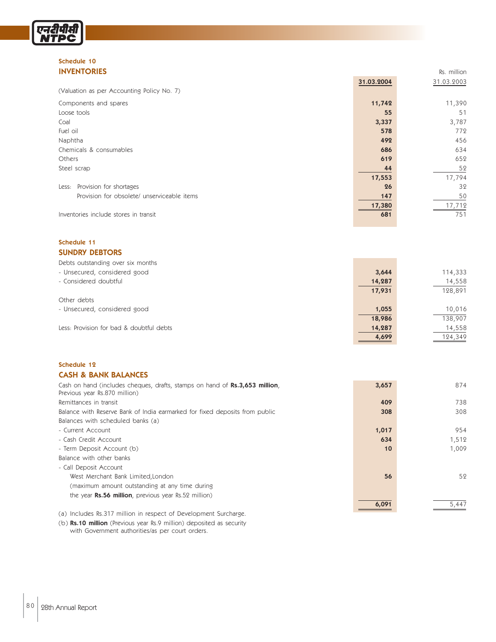## Schedule 10

*एनदीपीर्स्*<br>NTPC

| <b>INVENTORIES</b>                          |            | Rs. million |
|---------------------------------------------|------------|-------------|
|                                             | 31.03.2004 | 31.03.2003  |
| (Valuation as per Accounting Policy No. 7)  |            |             |
| Components and spares                       | 11,742     | 11,390      |
| Loose tools                                 | 55         | 51          |
| Coal                                        | 3,337      | 3,787       |
| Fuel oil                                    | 578        | 772         |
| Naphtha                                     | 492        | 456         |
| Chemicals & consumables                     | 686        | 634         |
| Others                                      | 619        | 652         |
| Steel scrap                                 | 44         | 52          |
|                                             | 17,553     | 17,794      |
| Provision for shortages<br>Less:            | 26         | 32          |
| Provision for obsolete/ unserviceable items | 147        | 50          |
|                                             | 17,380     | 17,712      |
| Inventories include stores in transit       | 681        | 751         |

#### Schedule 11 SUNDRY DEBTORS

| Debts outstanding over six months        |        |         |
|------------------------------------------|--------|---------|
| - Unsecured, considered good             | 3,644  | 114,333 |
| - Considered doubtful                    | 14,287 | 14,558  |
|                                          | 17,931 | 128,891 |
| Other debts                              |        |         |
| - Unsecured, considered good             | 1,055  | 10,016  |
|                                          | 18,986 | 138,907 |
| Less: Provision for bad & doubtful debts | 14,287 | 14,558  |
|                                          | 4,699  | 124,349 |

#### Schedule 12 CASH & BANK BALANCES

| Cash on hand (includes cheques, drafts, stamps on hand of Rs.3,653 million,<br>Previous year Rs.870 million) | 3,657 | 874   |
|--------------------------------------------------------------------------------------------------------------|-------|-------|
| Remittances in transit                                                                                       | 409   | 738   |
| Balance with Reserve Bank of India earmarked for fixed deposits from public                                  | 308   | 308   |
| Balances with scheduled banks (a)                                                                            |       |       |
| - Current Account                                                                                            | 1,017 | 954   |
| - Cash Credit Account                                                                                        | 634   | 1,512 |
| - Term Deposit Account (b)                                                                                   | 10    | 1,009 |
| Balance with other banks                                                                                     |       |       |
| - Call Deposit Account                                                                                       |       |       |
| West Merchant Bank Limited, London                                                                           | 56    | 52    |
| (maximum amount outstanding at any time during                                                               |       |       |
| the year <b>Rs.56 million</b> , previous year Rs.52 million)                                                 |       |       |
|                                                                                                              | 6,091 | 5,447 |
|                                                                                                              |       |       |

(a) Includes Rs.317 million in respect of Development Surcharge.

(b) Rs.10 million (Previous year Rs.9 million) deposited as security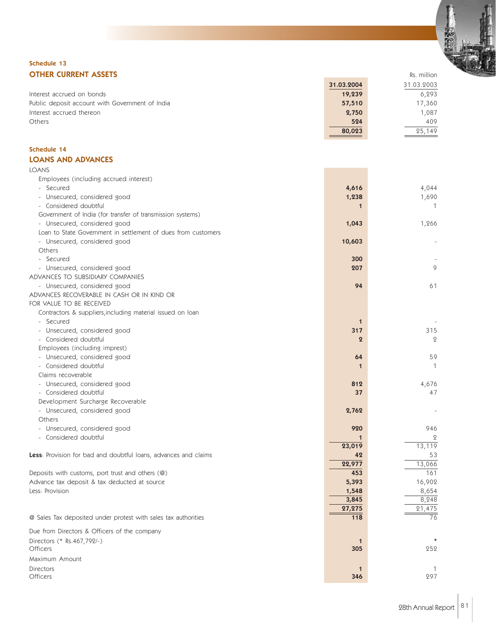

#### Schedule 13 **OTHER CURRENT ASSETS** Rs. million

|                                                 | 31.03.2004 | 31.03.2003 |
|-------------------------------------------------|------------|------------|
| Interest accrued on bonds                       | 19,239     | 6.293      |
| Public deposit account with Government of India | 57,510     | 17,360     |
| Interest accrued thereon                        | 2,750      | 1.087      |
| <b>Others</b>                                   | 524        | 409        |
|                                                 | 80,023     | 25.149     |

#### Schedule 14 LOANS AND ADVANCES

| <b>LOANS</b>                                                    |                  |              |
|-----------------------------------------------------------------|------------------|--------------|
| Employees (including accrued interest)                          |                  |              |
| - Secured                                                       | 4,616            | 4,044        |
| - Unsecured, considered good                                    | 1,238            | 1,690        |
| - Considered doubtful                                           | $\mathbf 1$      | -1.          |
| Government of India (for transfer of transmission systems)      |                  |              |
| - Unsecured, considered good                                    | 1,043            | 1,266        |
| Loan to State Government in settlement of dues from customers   |                  |              |
| - Unsecured, considered good                                    | 10,603           |              |
| Others                                                          |                  |              |
| - Secured                                                       | 300              |              |
| - Unsecured, considered good                                    | 207              | 9            |
| ADVANCES TO SUBSIDIARY COMPANIES                                |                  |              |
| - Unsecured, considered good                                    | 94               | 61           |
| ADVANCES RECOVERABLE IN CASH OR IN KIND OR                      |                  |              |
| FOR VALUE TO BE RECEIVED                                        |                  |              |
| Contractors & suppliers, including material issued on loan      |                  |              |
| - Secured                                                       | $\mathbf 1$      |              |
| - Unsecured, considered good                                    | 317              | 315          |
| - Considered doubtful                                           | $\boldsymbol{2}$ | $\mathbf{2}$ |
| Employees (including imprest)                                   |                  |              |
| - Unsecured, considered good                                    | 64               | 59           |
| - Considered doubtful                                           | 1                | $\mathbf{1}$ |
| Claims recoverable                                              |                  |              |
| - Unsecured, considered good                                    | 812              | 4,676        |
| - Considered doubtful                                           | 37               | 47           |
| Development Surcharge Recoverable                               |                  |              |
| - Unsecured, considered good                                    | 2,762            |              |
| Others                                                          |                  |              |
| - Unsecured, considered good                                    | 920              | 946          |
| - Considered doubtful                                           |                  | $\mathbf{2}$ |
|                                                                 | 23,019           | 13,119       |
| Less: Provision for bad and doubtful loans, advances and claims | 42               | 53           |
|                                                                 | 22,977           | 13,066       |
| Deposits with customs, port trust and others (@)                | 453              | 161          |
| Advance tax deposit & tax deducted at source                    | 5,393            | 16,902       |
| Less: Provision                                                 | 1,548            | 8,654        |
|                                                                 | 3,845            | 8,248        |
|                                                                 | 27,275           | 21,475       |
| @ Sales Tax deposited under protest with sales tax authorities  | 118              | 76           |
| Due from Directors & Officers of the company                    |                  |              |
| Directors (* Rs.467,792/-)<br>Officers                          | 1<br>305         | 252          |
| Maximum Amount                                                  |                  |              |
| <b>Directors</b>                                                | $\mathbf 1$      | 1            |
| Officers                                                        | 346              | 297          |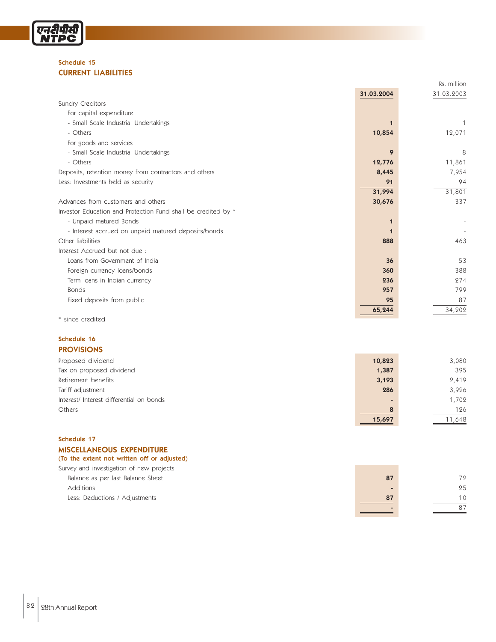

#### Schedule 15 CURRENT LIABILITIES

|                                                               |            | Rs. million |
|---------------------------------------------------------------|------------|-------------|
|                                                               | 31.03.2004 | 31.03.2003  |
| Sundry Creditors                                              |            |             |
| For capital expenditure                                       |            |             |
| - Small Scale Industrial Undertakings                         |            |             |
| - Others                                                      | 10,854     | 12,071      |
| For goods and services                                        |            |             |
| - Small Scale Industrial Undertakings                         | 9          | 8           |
| - Others                                                      | 12,776     | 11,861      |
| Deposits, retention money from contractors and others         | 8,445      | 7,954       |
| Less: Investments held as security                            | 91         | 94          |
|                                                               | 31,994     | 31,801      |
| Advances from customers and others                            | 30,676     | 337         |
| Investor Education and Protection Fund shall be credited by * |            |             |
| - Unpaid matured Bonds                                        |            |             |
| - Interest accrued on unpaid matured deposits/bonds           |            |             |
| Other liabilities                                             | 888        | 463         |
| Interest Accrued but not due:                                 |            |             |
| Loans from Government of India                                | 36         | 53          |
| Foreign currency loans/bonds                                  | 360        | 388         |
| Term loans in Indian currency                                 | 236        | 274         |
| <b>Bonds</b>                                                  | 957        | 799         |
| Fixed deposits from public                                    | 95         | 87          |
|                                                               | 65,244     | 34,202      |
| * since credited                                              |            |             |

#### Schedule 16 PROVISIONS

| Proposed dividend                       | 10,823 | 3,080  |
|-----------------------------------------|--------|--------|
| Tax on proposed dividend                | 1,387  | 395    |
| Retirement benefits                     | 3,193  | 2,419  |
| Tariff adjustment                       | 286    | 3,926  |
| Interest/Interest differential on bonds |        | 1,702  |
| Others                                  | 8      | 126    |
|                                         | 15,697 | 11,648 |

#### Schedule 17 MISCELLANEOUS EXPENDITURE

#### (To the extent not written off or adjusted)

| Survey and investigation of new projects |    |    |
|------------------------------------------|----|----|
| Balance as per last Balance Sheet        | 87 | 72 |
| Additions                                |    | 25 |
| Less: Deductions / Adjustments           | 87 | 10 |
|                                          |    |    |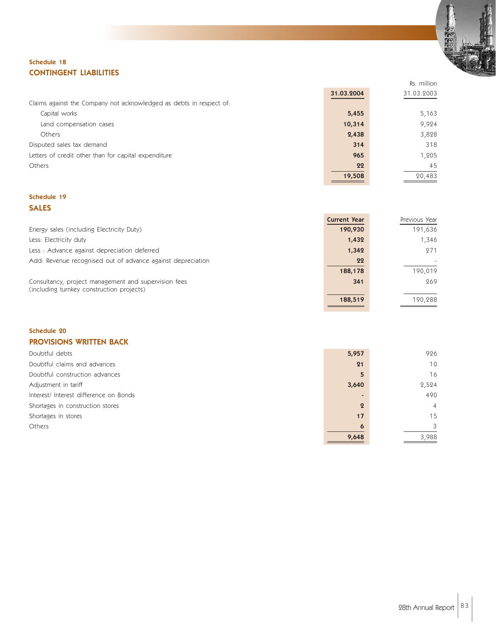

Rs. million

#### Schedule 18 CONTINGENT LIABILITIES

|                                                                     | 31.03.2004 | 31.03.2003 |
|---------------------------------------------------------------------|------------|------------|
| Claims against the Company not acknowledged as debts in respect of: |            |            |
| Capital works                                                       | 5,455      | 5,163      |
| Land compensation cases                                             | 10,314     | 9,924      |
| <b>Others</b>                                                       | 2,438      | 3,828      |
| Disputed sales tax demand                                           | 314        | 318        |
| Letters of credit other than for capital expenditure                | 965        | 1,205      |
| Others                                                              | 22         | 45         |
|                                                                     | 19,508     | 20,483     |

#### Schedule 19 SALES

|                                                                                                   | <b>Current Year</b> | Previous Year |
|---------------------------------------------------------------------------------------------------|---------------------|---------------|
| Energy sales (including Electricity Duty)                                                         | 190,930             | 191,636       |
| Less: Electricity duty                                                                            | 1,432               | 1,346         |
| Less: Advance against depreciation deferred                                                       | 1,342               | 271           |
| Add: Revenue recognised out of advance against depreciation                                       | 22                  |               |
|                                                                                                   | 188,178             | 190,019       |
| Consultancy, project management and supervision fees<br>(including turnkey construction projects) | 341                 | 269           |
|                                                                                                   | 188,519             | 190,288       |

#### Schedule 20 PROVISIONS WRITTEN BACK

| Doubtful debts                        | 5,957            | 926             |
|---------------------------------------|------------------|-----------------|
| Doubtful claims and advances          | 21               | 10 <sup>°</sup> |
| Doubtful construction advances        | 5                | 16              |
| Adjustment in tariff                  | 3,640            | 2,524           |
| Interest/Interest difference on Bonds |                  | 490             |
| Shortages in construction stores      | $\boldsymbol{2}$ | $\overline{4}$  |
| Shortages in stores                   | 17               | 15              |
| Others                                | 6                | $\mathcal{S}$   |
|                                       | 9,648            | 3,988           |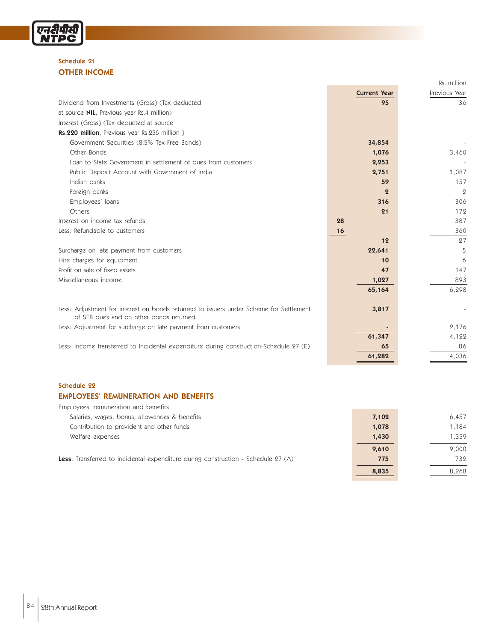

#### Schedule 21 OTHER INCOME

|                                                                                                                                   |                     | Rs. million    |
|-----------------------------------------------------------------------------------------------------------------------------------|---------------------|----------------|
|                                                                                                                                   | <b>Current Year</b> | Previous Year  |
| Dividend from Investments (Gross) (Tax deducted                                                                                   | 95                  | 36             |
| at source <b>NIL</b> , Previous year Rs.4 million)                                                                                |                     |                |
| Interest (Gross) (Tax deducted at source                                                                                          |                     |                |
| Rs.220 million, Previous year Rs.256 million)                                                                                     |                     |                |
| Government Securities (8.5% Tax-Free Bonds)                                                                                       | 34,854              |                |
| Other Bonds                                                                                                                       | 1,076               | 3,460          |
| Loan to State Government in settlement of dues from customers                                                                     | 2,253               |                |
| Public Deposit Account with Government of India                                                                                   | 2,751               | 1,087          |
| Indian banks                                                                                                                      | 59                  | 157            |
| Foreign banks                                                                                                                     | $\boldsymbol{Q}$    | $\overline{2}$ |
| Employees' loans                                                                                                                  | 316                 | 306            |
| Others                                                                                                                            | 21                  | 172            |
| Interest on income tax refunds                                                                                                    | 28                  | 387            |
| Less: Refundable to customers                                                                                                     | 16                  | 360            |
|                                                                                                                                   | 12                  | 27             |
| Surcharge on late payment from customers                                                                                          | 22,641              | 5              |
| Hire charges for equipment                                                                                                        | 10                  | 6              |
| Profit on sale of fixed assets                                                                                                    | 47                  | 147            |
| Miscellaneous income                                                                                                              | 1,027               | 893            |
|                                                                                                                                   | 65,164              | 6,298          |
|                                                                                                                                   |                     |                |
| Less: Adjustment for interest on bonds returned to issuers under Scheme for Settlement<br>of SEB dues and on other bonds returned | 3,817               |                |
| Less: Adjustment for surcharge on late payment from customers                                                                     |                     | 2,176          |
|                                                                                                                                   | 61,347              | 4,122          |
| Less: Income transferred to Incidental expenditure during construction-Schedule 27 (E)                                            | 65                  | 86             |
|                                                                                                                                   | 61,282              | 4,036          |
|                                                                                                                                   |                     |                |

#### Schedule 22

#### EMPLOYEES' REMUNERATION AND BENEFITS

| Employees' remuneration and benefits                                                      |       |       |
|-------------------------------------------------------------------------------------------|-------|-------|
| Salaries, wages, bonus, allowances & benefits                                             | 7,102 | 6,457 |
| Contribution to provident and other funds                                                 | 1,078 | 1,184 |
| Welfare expenses                                                                          | 1,430 | 1.359 |
|                                                                                           | 9,610 | 9,000 |
| <b>Less</b> : Transferred to incidental expenditure during construction - Schedule 27 (A) | 775   | 732   |
|                                                                                           | 8,835 | 8,268 |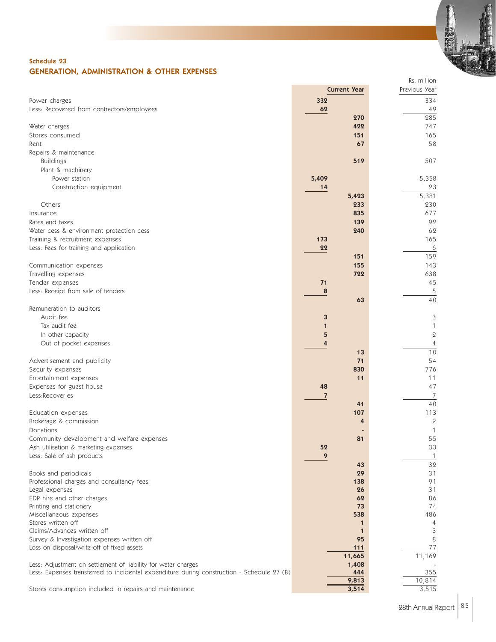

#### Schedule 23 GENERATION, ADMINISTRATION & OTHER EXPENSES

|                                                                                            | <b>Current Year</b> | Previous Year  |
|--------------------------------------------------------------------------------------------|---------------------|----------------|
| Power charges                                                                              | 332                 | 334            |
| Less: Recovered from contractors/employees                                                 | 62                  | 49             |
|                                                                                            | 270                 | 285            |
| Water charges                                                                              | 422                 | 747            |
| Stores consumed                                                                            | 151                 | 165            |
| Rent                                                                                       | 67                  | 58             |
| Repairs & maintenance                                                                      |                     |                |
| <b>Buildings</b>                                                                           | 519                 | 507            |
| Plant & machinery                                                                          |                     |                |
| Power station                                                                              | 5,409               | 5,358          |
| Construction equipment                                                                     | 14                  | 23             |
|                                                                                            | 5,423               | 5,381          |
| Others                                                                                     | 233                 | 230            |
| Insurance                                                                                  | 835                 | 677            |
| Rates and taxes                                                                            | 139                 | 92             |
| Water cess & environment protection cess                                                   | 240                 | 62             |
| Training & recruitment expenses                                                            | 173                 | 165            |
| Less: Fees for training and application                                                    | 22                  | 6              |
|                                                                                            | 151                 | 159            |
| Communication expenses                                                                     | 155                 | 143            |
| Travelling expenses                                                                        | 722                 | 638            |
| Tender expenses                                                                            | 71                  | 45             |
| Less: Receipt from sale of tenders                                                         | 8                   | 5              |
|                                                                                            | 63                  | 40             |
| Remuneration to auditors                                                                   |                     |                |
| Audit fee                                                                                  | 3                   | 3              |
| Tax audit fee                                                                              | 1                   | $\mathbf 1$    |
| In other capacity                                                                          | 5                   | $\mathbf 2$    |
| Out of pocket expenses                                                                     | 4                   | $\overline{4}$ |
|                                                                                            | 13                  | 10             |
| Advertisement and publicity                                                                | 71                  | 54             |
| Security expenses                                                                          | 830                 | 776            |
| Entertainment expenses                                                                     | 11                  | 11             |
| Expenses for guest house                                                                   | 48                  | 47             |
| Less:Recoveries                                                                            | $\overline{7}$      | 7              |
|                                                                                            | 41                  | 40             |
| Education expenses                                                                         | 107                 | 113            |
| Brokerage & commission                                                                     | 4                   | $\mathbf{Q}$   |
| Donations                                                                                  |                     | $\mathbf 1$    |
| Community development and welfare expenses                                                 | 81                  | 55             |
| Ash utilisation & marketing expenses                                                       | 52                  | 33             |
| Less: Sale of ash products                                                                 | 9                   | 1              |
|                                                                                            | 43                  | 32             |
| Books and periodicals                                                                      | 29<br>138           | 31<br>91       |
| Professional charges and consultancy fees<br>Legal expenses                                | 26                  | 31             |
| EDP hire and other charges                                                                 | 62                  | 86             |
| Printing and stationery                                                                    | 73                  | 74             |
| Miscellaneous expenses                                                                     | 538                 | 486            |
| Stores written off                                                                         | 1                   | $\overline{4}$ |
| Claims/Advances written off                                                                | 1                   | 3              |
| Survey & Investigation expenses written off                                                | 95                  | 8              |
| Loss on disposal/write-off of fixed assets                                                 | 111                 | 77             |
|                                                                                            | 11,665              | 11,169         |
| Less: Adjustment on settlement of liability for water charges                              | 1,408               |                |
| Less: Expenses transferred to incidental expenditure during construction - Schedule 27 (B) | 444                 | 355            |
|                                                                                            | 9,813               | 10,814         |
| Stores consumption included in repairs and maintenance                                     | 3,514               | 3,515          |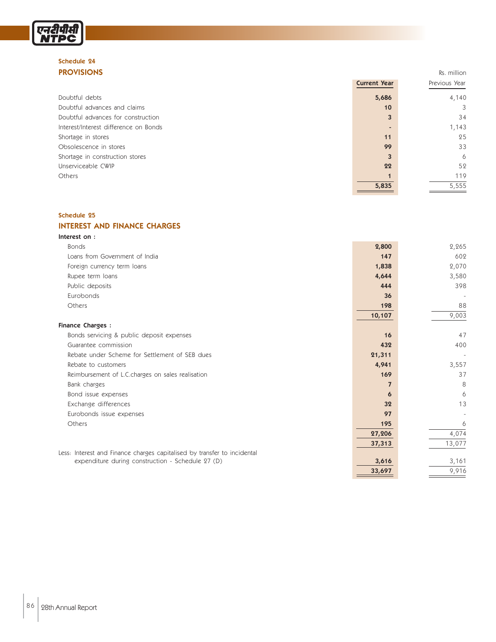#### Schedule 24 **PROVISIONS** Rs. million

एनटीपीसी<br>NTPC

|                                       | <b>Current Year</b> | Previous Year |
|---------------------------------------|---------------------|---------------|
| Doubtful debts                        | 5,686               | 4,140         |
| Doubtful advances and claims          | 10                  | 3             |
| Doubtful advances for construction    | 3                   | 34            |
| Interest/Interest difference on Bonds |                     | 1,143         |
| Shortage in stores                    | 11                  | 25            |
| Obsolescence in stores                | 99                  | 33            |
| Shortage in construction stores       | 3                   | 6             |
| Unserviceable CWIP                    | 22                  | 52            |
| Others                                |                     | 119           |
|                                       | 5,835               | 5,555         |

### Schedule 25

#### INTEREST AND FINANCE CHARGES

| Interest on:                                                             |                |        |
|--------------------------------------------------------------------------|----------------|--------|
| <b>Bonds</b>                                                             | 2,800          | 2,265  |
| Loans from Government of India                                           | 147            | 602    |
| Foreign currency term loans                                              | 1,838          | 2,070  |
| Rupee term loans                                                         | 4,644          | 3,580  |
| Public deposits                                                          | 444            | 398    |
| Eurobonds                                                                | 36             |        |
| Others                                                                   | 198            | 88     |
|                                                                          | 10,107         | 9,003  |
| <b>Finance Charges:</b>                                                  |                |        |
| Bonds servicing & public deposit expenses                                | 16             | 47     |
| Guarantee commission                                                     | 432            | 400    |
| Rebate under Scheme for Settlement of SEB dues                           | 21,311         |        |
| Rebate to customers                                                      | 4,941          | 3,557  |
| Reimbursement of L.C.charges on sales realisation                        | 169            | 37     |
| Bank charges                                                             | $\overline{7}$ | 8      |
| Bond issue expenses                                                      | 6              | 6      |
| Exchange differences                                                     | 32             | 13     |
| Eurobonds issue expenses                                                 | 97             |        |
| Others                                                                   | 195            | 6      |
|                                                                          | 27,206         | 4,074  |
|                                                                          | 37,313         | 13,077 |
| Less: Interest and Finance charges capitalised by transfer to incidental |                |        |
| expenditure during construction - Schedule 27 (D)                        | 3,616          | 3,161  |
|                                                                          | 33,697         | 9,916  |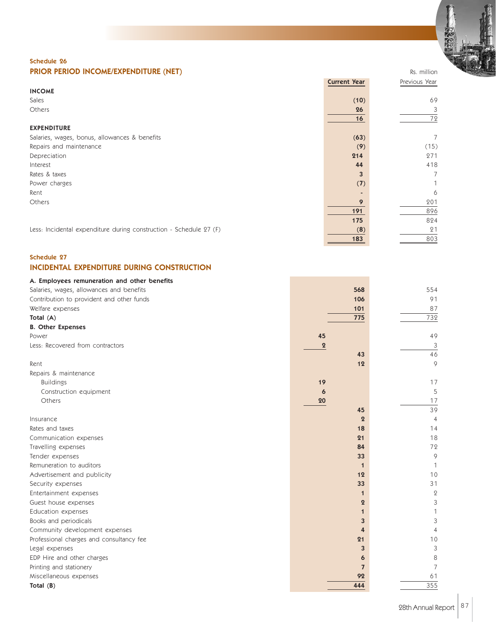

#### Schedule 26 **PRIOR PERIOD INCOME/EXPENDITURE (NET)** Rs. million

|                                                                    | <b>Current Year</b> | Previous Year |
|--------------------------------------------------------------------|---------------------|---------------|
| <b>INCOME</b>                                                      |                     |               |
| Sales                                                              | (10)                | 69            |
| Others                                                             | 26                  | 3             |
|                                                                    | 16                  | 72            |
| <b>EXPENDITURE</b>                                                 |                     |               |
| Salaries, wages, bonus, allowances & benefits                      | (63)                | 7             |
| Repairs and maintenance                                            | (9)                 | (15)          |
| Depreciation                                                       | 214                 | 271           |
| Interest                                                           | 44                  | 418           |
| Rates & taxes                                                      | 3                   | 7             |
| Power charges                                                      | (7)                 |               |
| Rent                                                               |                     | 6             |
| Others                                                             | 9                   | 201           |
|                                                                    | 191                 | 896           |
|                                                                    | 175                 | 824           |
| Less: Incidental expenditure during construction - Schedule 27 (F) | (8)                 | 21            |
|                                                                    | 183                 | 803           |

#### Schedule 27 INCIDENTAL EXPENDITURE DURING CONSTRUCTION

| A. Employees remuneration and other benefits |          |                |                  |
|----------------------------------------------|----------|----------------|------------------|
| Salaries, wages, allowances and benefits     |          | 568            | 554              |
| Contribution to provident and other funds    |          | 106            | 91               |
| Welfare expenses                             |          | 101            | 87               |
| Total (A)                                    |          | 775            | 732              |
| <b>B.</b> Other Expenses                     |          |                |                  |
| Power                                        | 45       |                | 49               |
| Less: Recovered from contractors             | $\bf{2}$ |                | 3                |
|                                              |          | 43             | 46               |
| Rent                                         |          | 12             | 9                |
| Repairs & maintenance                        |          |                |                  |
| <b>Buildings</b>                             | 19       |                | 17               |
| Construction equipment                       | 6        |                | 5                |
| Others                                       | 20       |                | 17               |
|                                              |          | 45             | 39               |
| Insurance                                    |          | $\overline{2}$ | $\overline{4}$   |
| Rates and taxes                              |          | 18             | 14               |
| Communication expenses                       |          | 21             | 18               |
| Travelling expenses                          |          | 84             | 72               |
| Tender expenses                              |          | 33             | 9                |
| Remuneration to auditors                     |          | $\mathbf{1}$   |                  |
| Advertisement and publicity                  |          | 12             | 10               |
| Security expenses                            |          | 33             | 31               |
| Entertainment expenses                       |          | $\mathbf{1}$   | $\boldsymbol{2}$ |
| Guest house expenses                         |          | $\overline{2}$ | 3                |
| Education expenses                           |          | $\mathbf{1}$   |                  |
| Books and periodicals                        |          | 3              | 3                |
| Community development expenses               |          | $\overline{4}$ | 4                |
| Professional charges and consultancy fee     |          | 21             | 10               |
| Legal expenses                               |          | 3              | 3                |
| EDP Hire and other charges                   |          | 6              | 8                |
| Printing and stationery                      |          | $\overline{7}$ | 7                |
| Miscellaneous expenses                       |          | 92             | 61               |
| Total $(B)$                                  |          | 444            | 355              |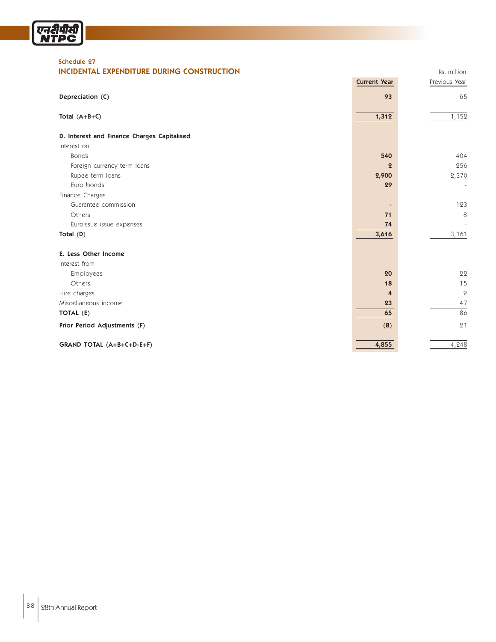

#### Schedule 27

#### **INCIDENTAL EXPENDITURE DURING CONSTRUCTION RS. million** Rs. million

|                                             | <b>Current Year</b> | Previous Year            |
|---------------------------------------------|---------------------|--------------------------|
| Depreciation (C)                            | 93                  | 65                       |
| Total $(A+B+C)$                             | 1,312               | 1,152                    |
| D. Interest and Finance Charges Capitalised |                     |                          |
| Interest on                                 |                     |                          |
| <b>Bonds</b>                                | 540                 | 404                      |
| Foreign currency term loans                 | $\mathbf 2$         | 256                      |
| Rupee term loans                            | 2,900               | 2,370                    |
| Euro bonds                                  | 29                  | $\overline{\phantom{a}}$ |
| Finance Charges                             |                     |                          |
| Guarantee commission                        |                     | 123                      |
| Others                                      | 71                  | 8                        |
| Euroissue issue expenses                    | 74                  |                          |
| Total (D)                                   | 3,616               | 3,161                    |
| E. Less Other Income                        |                     |                          |
| Interest from                               |                     |                          |
| Employees                                   | 20                  | 22                       |
| Others                                      | 18                  | 15                       |
| Hire charges                                | 4                   | $\mathbf{Q}$             |
| Miscellaneous income                        | 23                  | 47                       |
| TOTAL (E)                                   | 65                  | 86                       |
| Prior Period Adjustments (F)                | (8)                 | 21                       |
| GRAND TOTAL (A+B+C+D-E+F)                   | 4,855               | 4,248                    |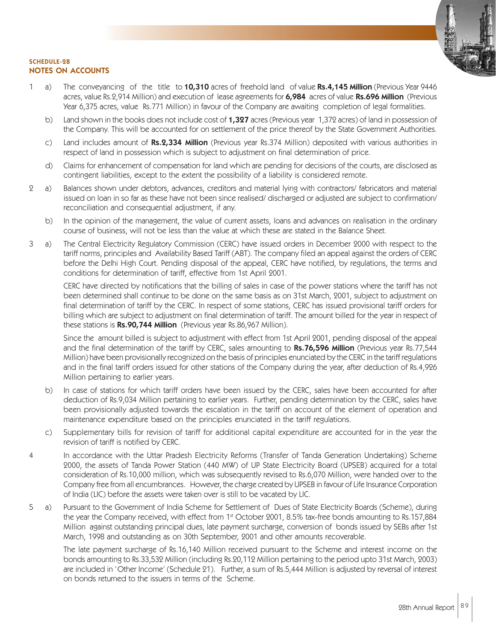

#### SCHEDULE-28 NOTES ON ACCOUNTS

- 1 a) The conveyancing of the title to 10,310 acres of freehold land of value Rs.4,145 Million (Previous Year 9446 acres, value Rs.2,914 Million) and execution of lease agreements for 6,984 acres of value Rs.696 Million (Previous Year 6,375 acres, value Rs.771 Million) in favour of the Company are awaiting completion of legal formalities.
	- b) Land shown in the books does not include cost of 1,327 acres (Previous year 1,372 acres) of land in possession of the Company. This will be accounted for on settlement of the price thereof by the State Government Authorities.
	- c) Land includes amount of Rs.2,334 Million (Previous year Rs.374 Million) deposited with various authorities in respect of land in possession which is subject to adjustment on final determination of price.
	- d) Claims for enhancement of compensation for land which are pending for decisions of the courts, are disclosed as contingent liabilities, except to the extent the possibility of a liability is considered remote.
- 2 a) Balances shown under debtors, advances, creditors and material lying with contractors/ fabricators and material issued on loan in so far as these have not been since realised/ discharged or adjusted are subject to confirmation/ reconciliation and consequential adjustment, if any.
	- b) In the opinion of the management, the value of current assets, loans and advances on realisation in the ordinary course of business, will not be less than the value at which these are stated in the Balance Sheet.
- 3 a) The Central Electricity Regulatory Commission (CERC) have issued orders in December 2000 with respect to the tariff norms, principles and Availability Based Tariff (ABT). The company filed an appeal against the orders of CERC before the Delhi High Court. Pending disposal of the appeal, CERC have notified, by regulations, the terms and conditions for determination of tariff, effective from 1st April 2001.

CERC have directed by notifications that the billing of sales in case of the power stations where the tariff has not been determined shall continue to be done on the same basis as on 31st March, 2001, subject to adjustment on final determination of tariff by the CERC. In respect of some stations, CERC has issued provisional tariff orders for billing which are subject to adjustment on final determination of tariff. The amount billed for the year in respect of these stations is Rs.90,744 Million (Previous year Rs.86,967 Million).

Since the amount billed is subject to adjustment with effect from 1st April 2001, pending disposal of the appeal and the final determination of the tariff by CERC, sales amounting to Rs.76,596 Million (Previous year Rs.77,544 Million) have been provisionally recognized on the basis of principles enunciated by the CERC in the tariff regulations and in the final tariff orders issued for other stations of the Company during the year, after deduction of Rs.4,926 Million pertaining to earlier years.

- b) In case of stations for which tariff orders have been issued by the CERC, sales have been accounted for after deduction of Rs.9,034 Million pertaining to earlier years. Further, pending determination by the CERC, sales have been provisionally adjusted towards the escalation in the tariff on account of the element of operation and maintenance expenditure based on the principles enunciated in the tariff regulations.
- c) Supplementary bills for revision of tariff for additional capital expenditure are accounted for in the year the revision of tariff is notified by CERC.
- 4 In accordance with the Uttar Pradesh Electricity Reforms (Transfer of Tanda Generation Undertaking) Scheme 2000, the assets of Tanda Power Station (440 MW) of UP State Electricity Board (UPSEB) acquired for a total consideration of Rs.10,000 million, which was subsequently revised to Rs.6,070 Million, were handed over to the Company free from all encumbrances. However, the charge created by UPSEB in favour of Life Insurance Corporation of India (LIC) before the assets were taken over is still to be vacated by LIC.
- 5 a) Pursuant to the Government of India Scheme for Settlement of Dues of State Electricity Boards (Scheme), during the year the Company received, with effect from 1<sup>st</sup> October 2001, 8.5% tax-free bonds amounting to Rs.157,884 Million against outstanding principal dues, late payment surcharge, conversion of bonds issued by SEBs after 1st March, 1998 and outstanding as on 30th September, 2001 and other amounts recoverable.

The late payment surcharge of Rs.16,140 Million received pursuant to the Scheme and interest income on the bonds amounting to Rs.33,532 Million (including Rs.20,112 Million pertaining to the period upto 31st March, 2003) are included in 'Other Income' (Schedule 21). Further, a sum of Rs.5,444 Million is adjusted by reversal of interest on bonds returned to the issuers in terms of the Scheme.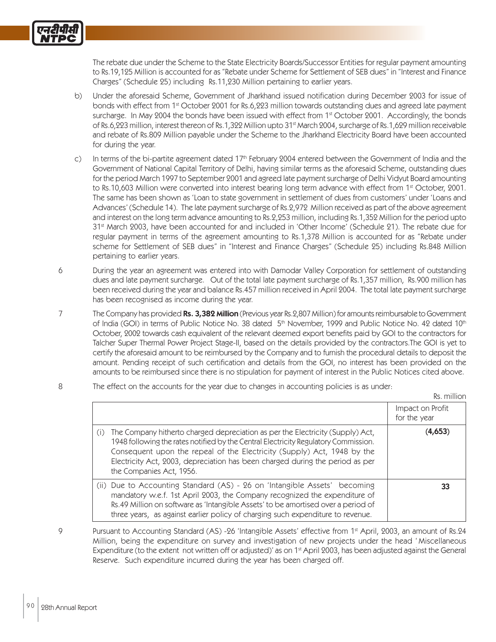The rebate due under the Scheme to the State Electricity Boards/Successor Entities for regular payment amounting to Rs.19,125 Million is accounted for as "Rebate under Scheme for Settlement of SEB dues" in "Interest and Finance Charges" (Schedule 25) including Rs.11,230 Million pertaining to earlier years.

- b) Under the aforesaid Scheme, Government of Jharkhand issued notification during December 2003 for issue of bonds with effect from 1st October 2001 for Rs.6,223 million towards outstanding dues and agreed late payment surcharge. In May 2004 the bonds have been issued with effect from 1<sup>st</sup> October 2001. Accordingly, the bonds of Rs.6,223 million, interest thereon of Rs.1,322 Million upto 31<sup>st</sup> March 2004, surcharge of Rs.1,629 million receivable and rebate of Rs.809 Million payable under the Scheme to the Jharkhand Electricity Board have been accounted for during the year.
- c) In terms of the bi-partite agreement dated 17<sup>th</sup> February 2004 entered between the Government of India and the Government of National Capital Territory of Delhi, having similar terms as the aforesaid Scheme, outstanding dues for the period March 1997 to September 2001 and agreed late payment surcharge of Delhi Vidyut Board amounting to Rs.10,603 Million were converted into interest bearing long term advance with effect from 1<sup>st</sup> October, 2001. The same has been shown as 'Loan to state government in settlement of dues from customers' under 'Loans and Advances' (Schedule 14). The late payment surcharge of Rs.2,972 Million received as part of the above agreement and interest on the long term advance amounting to Rs.2,253 million, including Rs.1,352 Million for the period upto 31st March 2003, have been accounted for and included in 'Other Income' (Schedule 21). The rebate due for regular payment in terms of the agreement amounting to Rs.1,378 Million is accounted for as "Rebate under scheme for Settlement of SEB dues" in "Interest and Finance Charges" (Schedule 25) including Rs.848 Million pertaining to earlier years.
- 6 During the year an agreement was entered into with Damodar Valley Corporation for settlement of outstanding dues and late payment surcharge. Out of the total late payment surcharge of Rs.1,357 million, Rs.900 million has been received during the year and balance Rs.457 million received in April 2004. The total late payment surcharge has been recognised as income during the year.
- 7 The Company has provided Rs. 3,382 Million (Previous year Rs. 2,807 Million) for amounts reimbursable to Government of India (GOI) in terms of Public Notice No. 38 dated 5<sup>th</sup> November, 1999 and Public Notice No. 42 dated 10<sup>th</sup> October, 2002 towards cash equivalent of the relevant deemed export benefits paid by GOI to the contractors for Talcher Super Thermal Power Project Stage-II, based on the details provided by the contractors.The GOI is yet to certify the aforesaid amount to be reimbursed by the Company and to furnish the procedural details to deposit the amount. Pending receipt of such certification and details from the GOI, no interest has been provided on the amounts to be reimbursed since there is no stipulation for payment of interest in the Public Notices cited above.
- 8 The effect on the accounts for the year due to changes in accounting policies is as under:

Rs. million

|                                                                                                                                                                                                                                                                                                                                                               | .                                |
|---------------------------------------------------------------------------------------------------------------------------------------------------------------------------------------------------------------------------------------------------------------------------------------------------------------------------------------------------------------|----------------------------------|
|                                                                                                                                                                                                                                                                                                                                                               | Impact on Profit<br>for the year |
| The Company hitherto charged depreciation as per the Electricity (Supply) Act,<br>1948 following the rates notified by the Central Electricity Regulatory Commission.<br>Consequent upon the repeal of the Electricity (Supply) Act, 1948 by the<br>Electricity Act, 2003, depreciation has been charged during the period as per<br>the Companies Act, 1956. | (4,653)                          |
| (ii) Due to Accounting Standard (AS) - 26 on 'Intangible Assets' becoming<br>mandatory w.e.f. 1st April 2003, the Company recognized the expenditure of<br>Rs.49 Million on software as 'Intangible Assets' to be amortised over a period of<br>three years, as against earlier policy of charging such expenditure to revenue.                               | 33                               |

9 Pursuant to Accounting Standard (AS) -26 'Intangible Assets' effective from 1<sup>st</sup> April, 2003, an amount of Rs.24 Million, being the expenditure on survey and investigation of new projects under the head ' Miscellaneous Expenditure (to the extent not written off or adjusted)' as on 1<sup>st</sup> April 2003, has been adjusted against the General Reserve. Such expenditure incurred during the year has been charged off.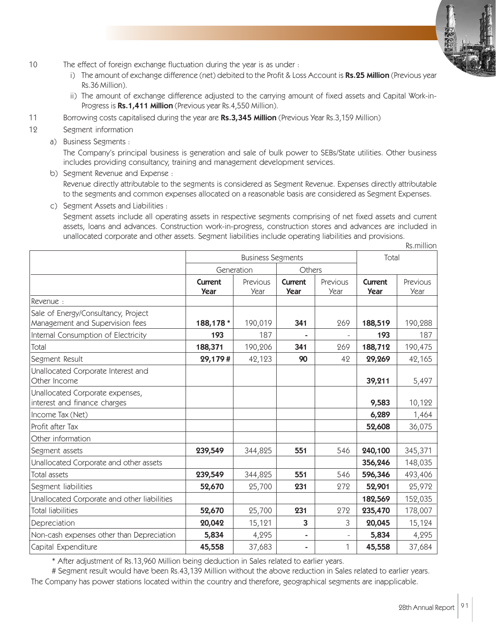- 10 The effect of foreign exchange fluctuation during the year is as under :
	- i) The amount of exchange difference (net) debited to the Profit & Loss Account is Rs.25 Million (Previous year Rs.36 Million).
	- ii) The amount of exchange difference adjusted to the carrying amount of fixed assets and Capital Work-in-Progress is Rs.1,411 Million (Previous year Rs.4,550 Million).
- 11 Borrowing costs capitalised during the year are **Rs.3,345 Million** (Previous Year Rs.3,159 Million)
- 12 Segment information
	- a) Business Segments :

The Company's principal business is generation and sale of bulk power to SEBs/State utilities. Other business includes providing consultancy, training and management development services.

- b) Segment Revenue and Expense : Revenue directly attributable to the segments is considered as Segment Revenue. Expenses directly attributable to the segments and common expenses allocated on a reasonable basis are considered as Segment Expenses.
- c) Segment Assets and Liabilities :

Segment assets include all operating assets in respective segments comprising of net fixed assets and current assets, loans and advances. Construction work-in-progress, construction stores and advances are included in unallocated corporate and other assets. Segment liabilities include operating liabilities and provisions.

|                                                                        |                          |                  |                        |                  |                        | Rs.million       |
|------------------------------------------------------------------------|--------------------------|------------------|------------------------|------------------|------------------------|------------------|
|                                                                        | <b>Business Segments</b> |                  |                        |                  | Total                  |                  |
|                                                                        | Generation               |                  | Others                 |                  |                        |                  |
|                                                                        | <b>Current</b><br>Year   | Previous<br>Year | Current<br><b>Year</b> | Previous<br>Year | Current<br><b>Year</b> | Previous<br>Year |
| Revenue:                                                               |                          |                  |                        |                  |                        |                  |
| Sale of Energy/Consultancy, Project<br>Management and Supervision fees | 188,178 *                | 190,019          | 341                    | 269              | 188,519                | 190,288          |
| Internal Consumption of Electricity                                    | 193                      | 187              |                        |                  | 193                    | 187              |
| Total                                                                  | 188,371                  | 190,206          | 341                    | 269              | 188,712                | 190,475          |
| Segment Result                                                         | 29,179#                  | 42,123           | 90                     | 42               | 29,269                 | 42,165           |
| Unallocated Corporate Interest and<br>Other Income                     |                          |                  |                        |                  | 39,211                 | 5,497            |
| Unallocated Corporate expenses,<br>interest and finance charges        |                          |                  |                        |                  | 9,583                  | 10,122           |
| Income Tax (Net)                                                       |                          |                  |                        |                  | 6,289                  | 1,464            |
| Profit after Tax                                                       |                          |                  |                        |                  | 52,608                 | 36,075           |
| Other information                                                      |                          |                  |                        |                  |                        |                  |
| Segment assets                                                         | 239,549                  | 344,825          | 551                    | 546              | 240,100                | 345,371          |
| Unallocated Corporate and other assets                                 |                          |                  |                        |                  | 356,246                | 148,035          |
| <b>Total assets</b>                                                    | 239,549                  | 344,825          | 551                    | 546              | 596,346                | 493,406          |
| Segment liabilities                                                    | 52,670                   | 25,700           | 231                    | 272              | 52,901                 | 25,972           |
| Unallocated Corporate and other liabilities                            |                          |                  |                        |                  | 182,569                | 152,035          |
| <b>Total liabilities</b>                                               | 52,670                   | 25,700           | 231                    | 272              | 235,470                | 178,007          |
| Depreciation                                                           | 20,042                   | 15,121           | 3                      | 3                | 20,045                 | 15,124           |
| Non-cash expenses other than Depreciation                              | 5,834                    | 4,295            | ÷                      |                  | 5,834                  | 4,295            |
| Capital Expenditure                                                    | 45,558                   | 37,683           | $\blacksquare$         | 1                | 45,558                 | 37,684           |

\* After adjustment of Rs.13,960 Million being deduction in Sales related to earlier years.

# Segment result would have been Rs.43,139 Million without the above reduction in Sales related to earlier years.

The Company has power stations located within the country and therefore, geographical segments are inapplicable.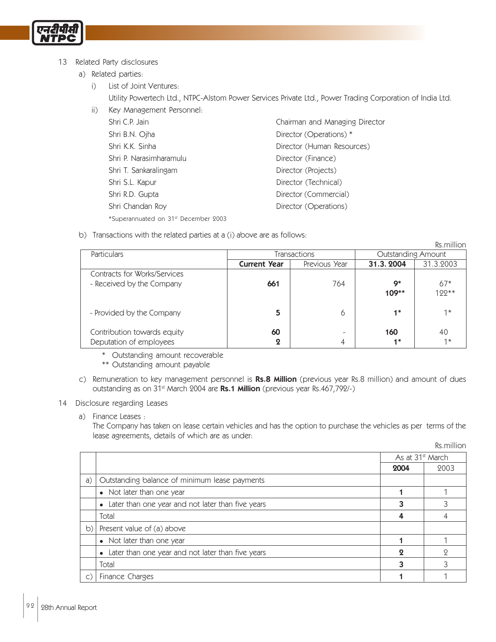

#### 13 Related Party disclosures

a) Related parties:

- i) List of Joint Ventures: Utility Powertech Ltd., NTPC-Alstom Power Services Private Ltd., Power Trading Corporation of India Ltd.
- ii) Key Management Personnel: Shri C.P. Jain **C.P. Jain** Chairman and Managing Director Shri B.N. Ojha Director (Operations) \* Shri K.K. Sinha **Director (Human Resources)** Shri P. Narasimharamulu Director (Finance) Shri T. Sankaralingam Director (Projects) Shri S.L. Kapur **Director (Technical)** Shri R.D. Gupta Director (Commercial) Shri Chandan Roy **Director (Operations)** \*Superannuated on 31st December 2003
- b) Transactions with the related parties at a (i) above are as follows:

|                              |                       |                          |           | Rs.million                |  |  |
|------------------------------|-----------------------|--------------------------|-----------|---------------------------|--|--|
| Particulars                  |                       | Transactions             |           | <b>Outstanding Amount</b> |  |  |
|                              | <b>Current Year</b>   | Previous Year            | 31.3.2004 | 31.3.2003                 |  |  |
| Contracts for Works/Services |                       |                          |           |                           |  |  |
| - Received by the Company    | 661                   | 764                      | Q*        | $67*$                     |  |  |
|                              |                       |                          | $109**$   | 199**                     |  |  |
|                              |                       |                          |           |                           |  |  |
| - Provided by the Company    | 5                     | 6                        | $4*$      | $1*$                      |  |  |
|                              |                       |                          |           |                           |  |  |
| Contribution towards equity  | 60                    | $\overline{\phantom{0}}$ | 160       | 40                        |  |  |
| Deputation of employees      | $\boldsymbol{\Omega}$ | 4                        | $4*$      | $1*$                      |  |  |

\* Outstanding amount recoverable

\*\* Outstanding amount payable

c) Remuneration to key management personnel is Rs.8 Million (previous year Rs.8 million) and amount of dues outstanding as on 31<sup>st</sup> March 2004 are Rs.1 Million (previous year Rs.467,792/-)

#### 14 Disclosure regarding Leases

a) Finance Leases :

The Company has taken on lease certain vehicles and has the option to purchase the vehicles as per terms of the lease agreements, details of which are as under:

Rs.million

|    |                                                     |                              | .    |
|----|-----------------------------------------------------|------------------------------|------|
|    |                                                     | As at 31 <sup>st</sup> March |      |
|    |                                                     | 2004                         | 2003 |
| a) | Outstanding balance of minimum lease payments       |                              |      |
|    | • Not later than one year                           |                              |      |
|    | • Later than one year and not later than five years |                              |      |
|    | Total                                               |                              |      |
| b) | Present value of (a) above                          |                              |      |
|    | • Not later than one year                           |                              |      |
|    | • Later than one year and not later than five years |                              |      |
|    | Total                                               |                              |      |
|    | Finance Charges                                     |                              |      |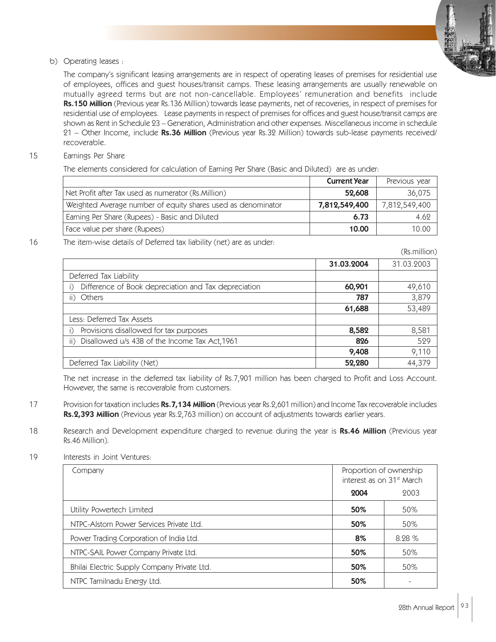

b) Operating leases :

The company's significant leasing arrangements are in respect of operating leases of premises for residential use of employees, offices and guest houses/transit camps. These leasing arrangements are usually renewable on mutually agreed terms but are not non-cancellable. Employees' remuneration and benefits include Rs.150 Million (Previous year Rs.136 Million) towards lease payments, net of recoveries, in respect of premises for residential use of employees. Lease payments in respect of premises for offices and guest house/transit camps are shown as Rent in Schedule 23 – Generation, Administration and other expenses. Miscellaneous income in schedule 21 – Other Income, include Rs.36 Million (Previous year Rs.32 Million) towards sub-lease payments received/ recoverable.

15 Earnings Per Share

The elements considered for calculation of Earning Per Share (Basic and Diluted) are as under:

|                                                              | <b>Current Year</b> | Previous year |
|--------------------------------------------------------------|---------------------|---------------|
| Net Profit after Tax used as numerator (Rs.Million)          | 52,608              | 36,075        |
| Weighted Average number of equity shares used as denominator | 7,812,549,400       | 7,812,549,400 |
| Earning Per Share (Rupees) - Basic and Diluted               | 6.73                | 4.62          |
| Face value per share (Rupees)                                | 10.00               | 10.00         |

16 The item-wise details of Deferred tax liability (net) are as under:

|                                                      |            | (Rs.million) |
|------------------------------------------------------|------------|--------------|
|                                                      | 31.03.2004 | 31.03.2003   |
| Deferred Tax Liability                               |            |              |
| Difference of Book depreciation and Tax depreciation | 60,901     | 49,610       |
| ii) Others                                           | 787        | 3,879        |
|                                                      | 61,688     | 53,489       |
| Less: Deferred Tax Assets                            |            |              |
| Provisions disallowed for tax purposes               | 8,582      | 8,581        |
| ii) Disallowed u/s 43B of the Income Tax Act, 1961   | 826        | 529          |
|                                                      | 9,408      | 9,110        |
| Deferred Tax Liability (Net)                         | 52,280     | 44,379       |

The net increase in the deferred tax liability of Rs.7,901 million has been charged to Profit and Loss Account. However, the same is recoverable from customers.

- 17 Provision for taxation includes Rs.7,134 Million (Previous year Rs.2,601 million) and Income Tax recoverable includes Rs.2,393 Million (Previous year Rs.2,763 million) on account of adjustments towards earlier years.
- 18 Research and Development expenditure charged to revenue during the year is Rs.46 Million (Previous year Rs.46 Million).
- 19 Interests in Joint Ventures:

| Company                                     | Proportion of ownership<br>interest as on 31 <sup>st</sup> March |       |
|---------------------------------------------|------------------------------------------------------------------|-------|
|                                             | 2004                                                             | 2003  |
| Utility Powertech Limited                   | 50%                                                              | 50%   |
| NTPC-Alstom Power Services Private Ltd.     | 50%                                                              | 50%   |
| Power Trading Corporation of India Ltd.     | 8%                                                               | 8.28% |
| NTPC-SAIL Power Company Private Ltd.        | 50%                                                              | 50%   |
| Bhilai Electric Supply Company Private Ltd. | 50%                                                              | 50%   |
| NTPC Tamilnadu Energy Ltd.                  | 50%                                                              |       |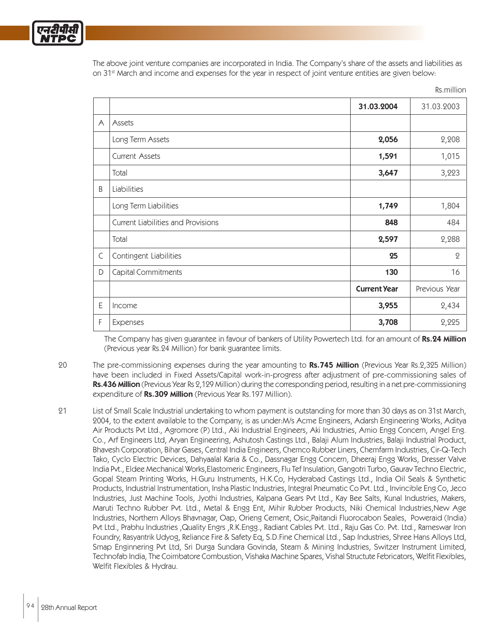The above joint venture companies are incorporated in India. The Company's share of the assets and liabilities as on 31<sup>st</sup> March and income and expenses for the year in respect of joint venture entities are given below:

Rs.million

|             |                                           |                     | <b>NS.ITIIIIUII</b> |
|-------------|-------------------------------------------|---------------------|---------------------|
|             |                                           | 31.03.2004          | 31.03.2003          |
| $\forall$   | Assets                                    |                     |                     |
|             | Long Term Assets                          | 2,056               | 2,208               |
|             | <b>Current Assets</b>                     | 1,591               | 1,015               |
|             | Total                                     | 3,647               | 3,223               |
| B           | Liabilities                               |                     |                     |
|             | Long Term Liabilities                     | 1,749               | 1,804               |
|             | <b>Current Liabilities and Provisions</b> | 848                 | 484                 |
|             | Total                                     | 2,597               | 2,288               |
| $\mathsf C$ | Contingent Liabilities                    | 25                  | $\mathbf 2$         |
| D           | Capital Commitments                       | 130                 | 16                  |
|             |                                           | <b>Current Year</b> | Previous Year       |
| E           | Income                                    | 3,955               | 2,434               |
| F           | Expenses                                  | 3,708               | 2,225               |

The Company has given guarantee in favour of bankers of Utility Powertech Ltd. for an amount of Rs.24 Million (Previous year Rs.24 Million) for bank guarantee limits.

- 20 The pre-commissioning expenses during the year amounting to Rs.745 Million (Previous Year Rs.2,325 Million) have been included in Fixed Assets/Capital work-in-progress after adjustment of pre-commissioning sales of Rs.436 Million (Previous Year Rs 2,129 Million) during the corresponding period, resulting in a net pre-commissioning expenditure of Rs.309 Million (Previous Year Rs.197 Million).
- 21 List of Small Scale Industrial undertaking to whom payment is outstanding for more than 30 days as on 31st March, 2004, to the extent available to the Company, is as under:M/s Acme Engineers, Adarsh Engineering Works, Aditya Air Products Pvt Ltd., Agromore (P) Ltd., Aki Industrial Engineers, Aki Industries, Amio Engg Concern, Angel Eng. Co., Arf Engineers Ltd, Aryan Engineering, Ashutosh Castings Ltd., Balaji Alum Industries, Balaji Industrial Product, Bhavesh Corporation, Bihar Gases, Central India Engineers, Chemco Rubber Liners, Chemfarm Industries, Cir-Q-Tech Tako, Cyclo Electric Devices, Dahyaalal Karia & Co., Dassnagar Engg Concern, Dheeraj Engg Works, Dresser Valve India Pvt., Eldee Mechanical Works,Elastomeric Engineers, Flu Tef Insulation, Gangotri Turbo, Gaurav Techno Electric, Gopal Steam Printing Works, H.Guru Instruments, H.K.Co, Hyderabad Castings Ltd., India Oil Seals & Synthetic Products, Industrial Instrumentation, Insha Plastic Industries, Integral Pneumatic Co Pvt. Ltd., Invincible Eng Co, Jeco Industries, Just Machine Tools, Jyothi Industries, Kalpana Gears Pvt Ltd., Kay Bee Salts, Kunal Industries, Makers, Maruti Techno Rubber Pvt. Ltd., Metal & Engg Ent, Mihir Rubber Products, Niki Chemical Industries,New Age Industries, Northern Alloys Bhavnagar, Oap, Orieng Cement, Osic,Paitandi Fluorocabon Seales, Poweraid (India) Pvt Ltd., Prabhu Industries ,Quality Engrs ,R.K.Engg., Radiant Cables Pvt. Ltd., Raju Gas Co. Pvt. Ltd., Rameswar Iron Foundry, Rasyantrik Udyog, Reliance Fire & Safety Eq, S.D.Fine Chemical Ltd., Sap Industries, Shree Hans Alloys Ltd, Smap Enginnering Pvt Ltd, Sri Durga Sundara Govinda, Steam & Mining Industries, Switzer Instrument Limited, Technofab India, The Coimbatore Combustion, Vishaka Machine Spares, Vishal Structute Febricators, Welfit Flexibles, Welfit Flexibles & Hydrau.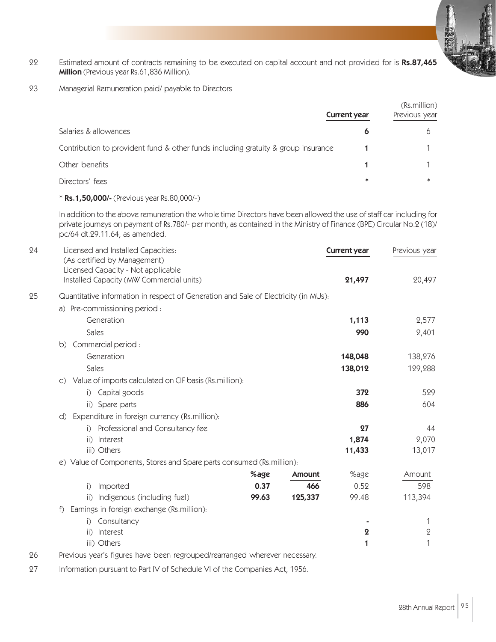- 22 Estimated amount of contracts remaining to be executed on capital account and not provided for is Rs.87,465 Million (Previous year Rs.61,836 Million).
- 23 Managerial Remuneration paid/ payable to Directors

|                                                                                   | <b>Current year</b> | (Rs.million)<br>Previous year |  |
|-----------------------------------------------------------------------------------|---------------------|-------------------------------|--|
| Salaries & allowances                                                             | Ô                   |                               |  |
| Contribution to provident fund & other funds including gratuity & group insurance |                     |                               |  |
| Other benefits                                                                    |                     |                               |  |
| Directors' fees                                                                   | $\ast$              | $\ast$                        |  |

#### \* Rs.1,50,000/- (Previous year Rs.80,000/-)

In addition to the above remuneration the whole time Directors have been allowed the use of staff car including for private journeys on payment of Rs.780/- per month, as contained in the Ministry of Finance (BPE) Circular No.2 (18)/ pc/64 dt.29.11.64, as amended.

| 24 | Licensed and Installed Capacities:<br>(As certified by Management)<br>Licensed Capacity - Not applicable |                                                                                     |         | <b>Current year</b> | Previous year |  |  |  |
|----|----------------------------------------------------------------------------------------------------------|-------------------------------------------------------------------------------------|---------|---------------------|---------------|--|--|--|
|    | Installed Capacity (MW Commercial units)                                                                 |                                                                                     |         | 21,497              | 20,497        |  |  |  |
| 25 |                                                                                                          | Quantitative information in respect of Generation and Sale of Electricity (in MUs): |         |                     |               |  |  |  |
|    | a) Pre-commissioning period :                                                                            |                                                                                     |         |                     |               |  |  |  |
|    | Generation                                                                                               |                                                                                     |         | 1,113               | 2,577         |  |  |  |
|    | Sales                                                                                                    |                                                                                     |         | 990                 | 2,401         |  |  |  |
|    | Commercial period :<br>b)                                                                                |                                                                                     |         |                     |               |  |  |  |
|    | Generation                                                                                               |                                                                                     |         | 148,048             | 138,276       |  |  |  |
|    | Sales                                                                                                    |                                                                                     |         | 138,012             | 129,288       |  |  |  |
|    | c) Value of imports calculated on CIF basis (Rs.million):                                                |                                                                                     |         |                     |               |  |  |  |
|    | Capital goods<br>$\big  \big $                                                                           |                                                                                     |         | 372                 | 529           |  |  |  |
|    | ii) Spare parts                                                                                          |                                                                                     |         | 886                 | 604           |  |  |  |
|    | Expenditure in foreign currency (Rs.million):<br>d)                                                      |                                                                                     |         |                     |               |  |  |  |
|    | Professional and Consultancy fee<br>i                                                                    |                                                                                     |         | 27                  | 44            |  |  |  |
|    | Interest<br>$\overline{ii}$                                                                              |                                                                                     |         | 1,874               | 2,070         |  |  |  |
|    | iii) Others                                                                                              |                                                                                     |         | 11,433              | 13,017        |  |  |  |
|    | e) Value of Components, Stores and Spare parts consumed (Rs.million):                                    |                                                                                     |         |                     |               |  |  |  |
|    |                                                                                                          | %age                                                                                | Amount  | %age                | Amount        |  |  |  |
|    | Imported<br>$\bigcap$                                                                                    | 0.37                                                                                | 466     | 0.52                | 598           |  |  |  |
|    | Indigenous (including fuel)<br>$\mathsf{ii}$ )                                                           | 99.63                                                                               | 125,337 | 99.48               | 113,394       |  |  |  |
|    | Earnings in foreign exchange (Rs.million):<br>f                                                          |                                                                                     |         |                     |               |  |  |  |
|    | Consultancy<br>$\big  \big $                                                                             |                                                                                     |         |                     | 1             |  |  |  |
|    | Interest<br>$\overline{ii}$                                                                              |                                                                                     |         | $\boldsymbol{2}$    | $\mathbf 2$   |  |  |  |
|    | iii) Others                                                                                              |                                                                                     |         | 1                   | 1             |  |  |  |
| 26 | Previous year's figures have been regrouped/rearranged wherever necessary.                               |                                                                                     |         |                     |               |  |  |  |

27 Information pursuant to Part IV of Schedule VI of the Companies Act, 1956.